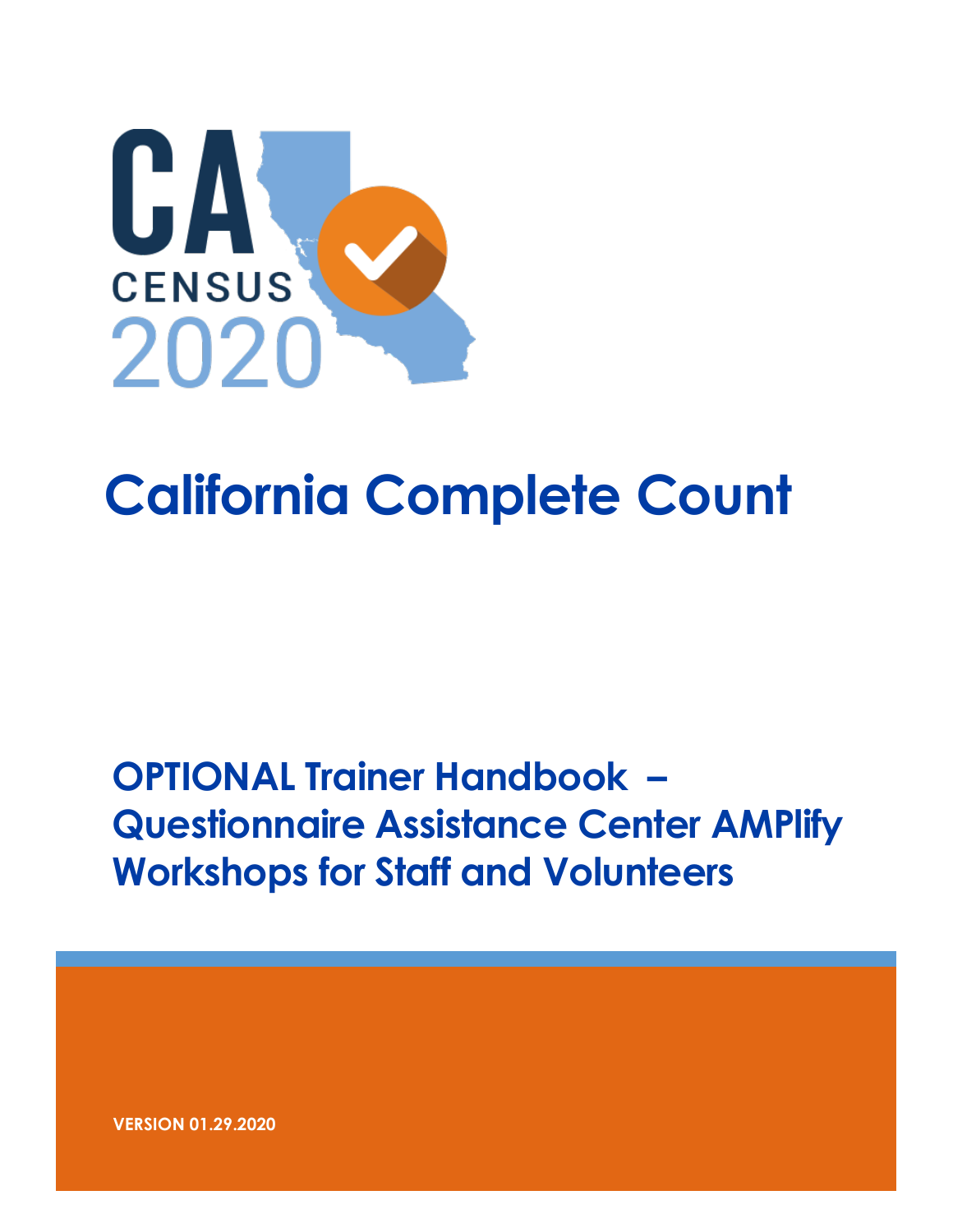

# **California Complete Count**

# **OPTIONAL Trainer Handbook – Questionnaire Assistance Center AMPlify Workshops for Staff and Volunteers**

**VERSION 01.29.2020**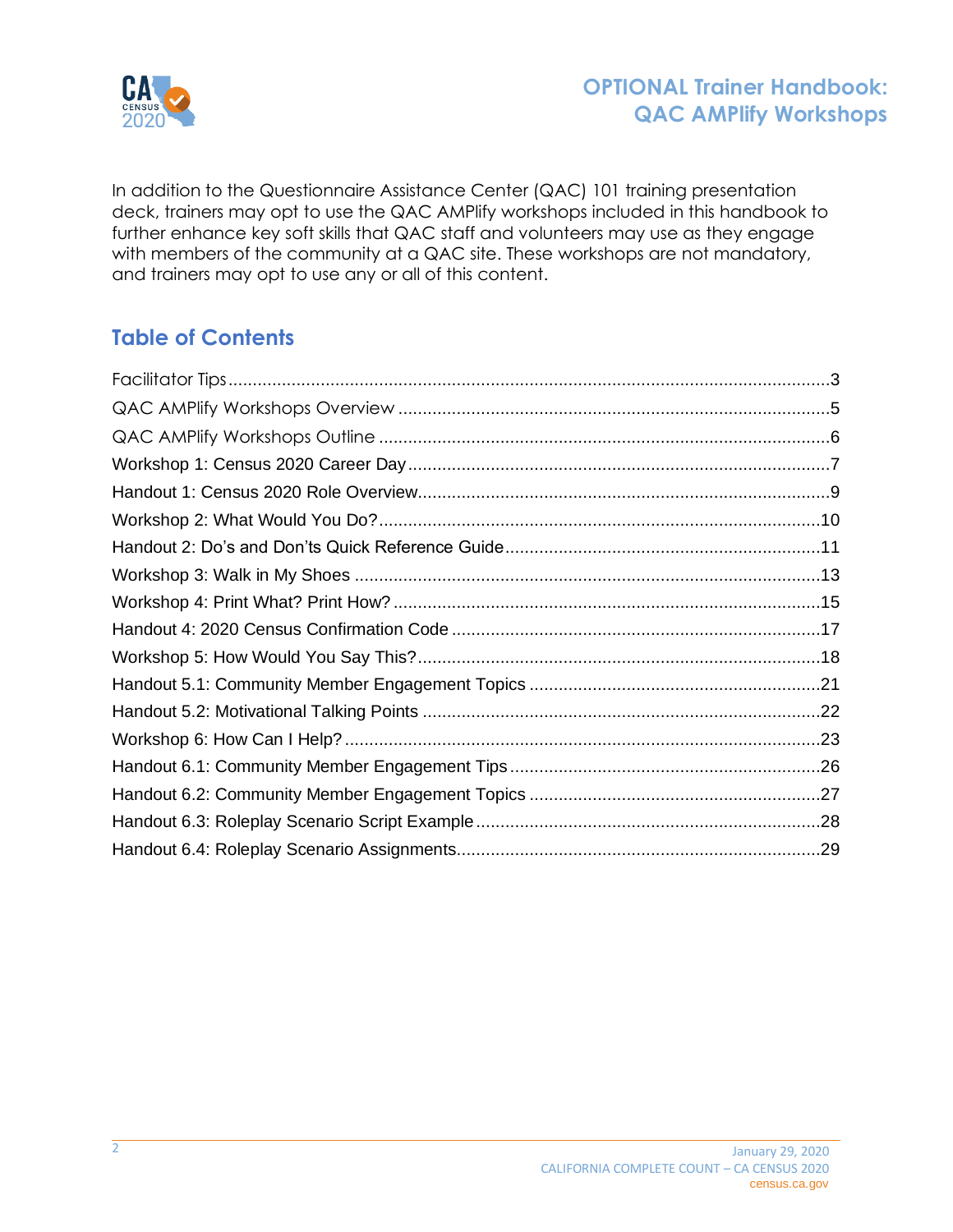

In addition to the Questionnaire Assistance Center (QAC) 101 training presentation deck, trainers may opt to use the QAC AMPlify workshops included in this handbook to further enhance key soft skills that QAC staff and volunteers may use as they engage with members of the community at a QAC site. These workshops are not mandatory, and trainers may opt to use any or all of this content.

## **Table of Contents**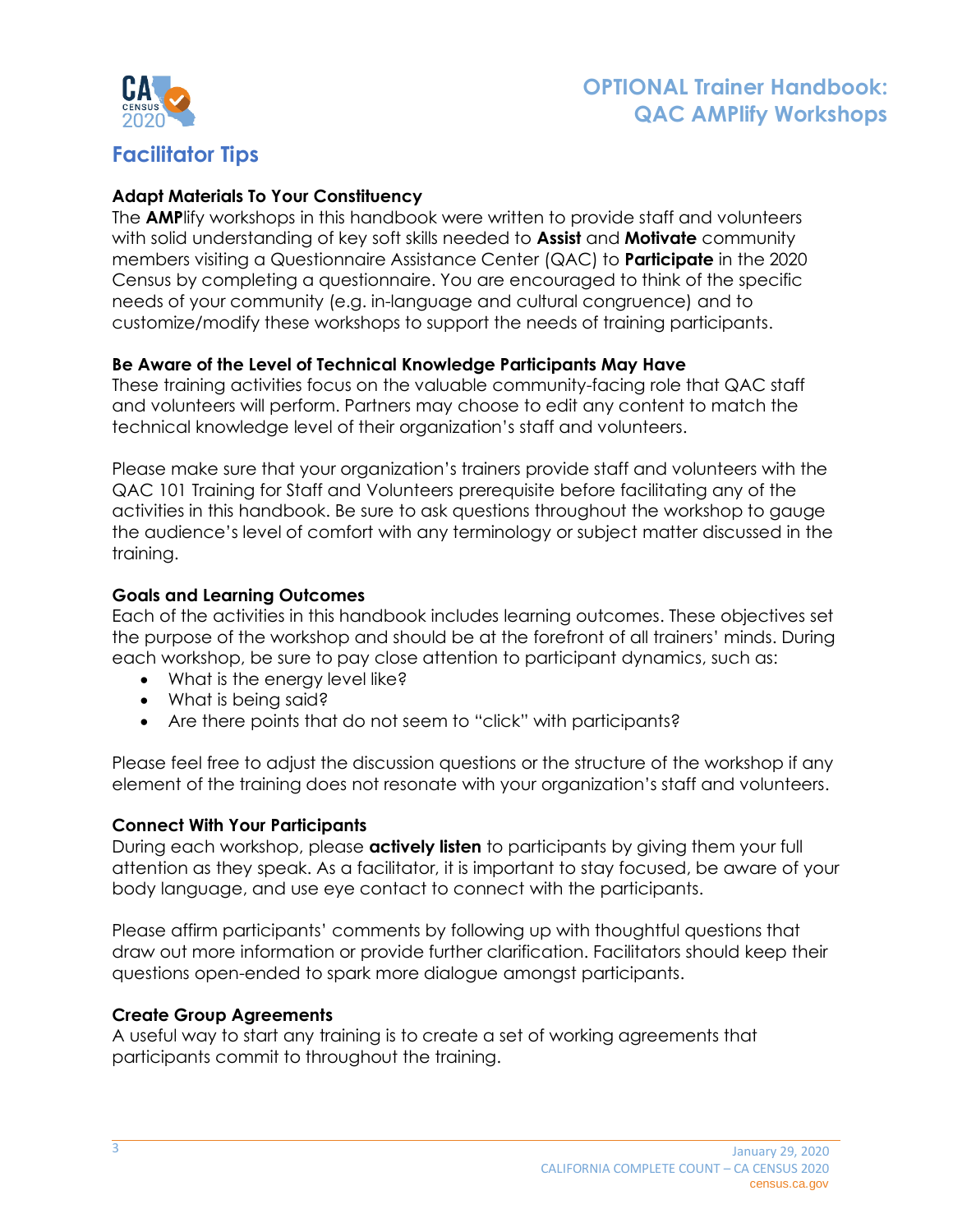

## <span id="page-2-0"></span>**Facilitator Tips**

### **Adapt Materials To Your Constituency**

The **AMP**lify workshops in this handbook were written to provide staff and volunteers with solid understanding of key soft skills needed to **Assist** and **Motivate** community members visiting a Questionnaire Assistance Center (QAC) to **Participate** in the 2020 Census by completing a questionnaire. You are encouraged to think of the specific needs of your community (e.g. in-language and cultural congruence) and to customize/modify these workshops to support the needs of training participants.

#### **Be Aware of the Level of Technical Knowledge Participants May Have**

These training activities focus on the valuable community-facing role that QAC staff and volunteers will perform. Partners may choose to edit any content to match the technical knowledge level of their organization's staff and volunteers.

Please make sure that your organization's trainers provide staff and volunteers with the QAC 101 Training for Staff and Volunteers prerequisite before facilitating any of the activities in this handbook. Be sure to ask questions throughout the workshop to gauge the audience's level of comfort with any terminology or subject matter discussed in the training.

#### **Goals and Learning Outcomes**

Each of the activities in this handbook includes learning outcomes. These objectives set the purpose of the workshop and should be at the forefront of all trainers' minds. During each workshop, be sure to pay close attention to participant dynamics, such as:

- What is the energy level like?
- What is being said?
- Are there points that do not seem to "click" with participants?

Please feel free to adjust the discussion questions or the structure of the workshop if any element of the training does not resonate with your organization's staff and volunteers.

#### **Connect With Your Participants**

During each workshop, please **actively listen** to participants by giving them your full attention as they speak. As a facilitator, it is important to stay focused, be aware of your body language, and use eye contact to connect with the participants.

Please affirm participants' comments by following up with thoughtful questions that draw out more information or provide further clarification. Facilitators should keep their questions open-ended to spark more dialogue amongst participants.

### **Create Group Agreements**

A useful way to start any training is to create a set of working agreements that participants commit to throughout the training.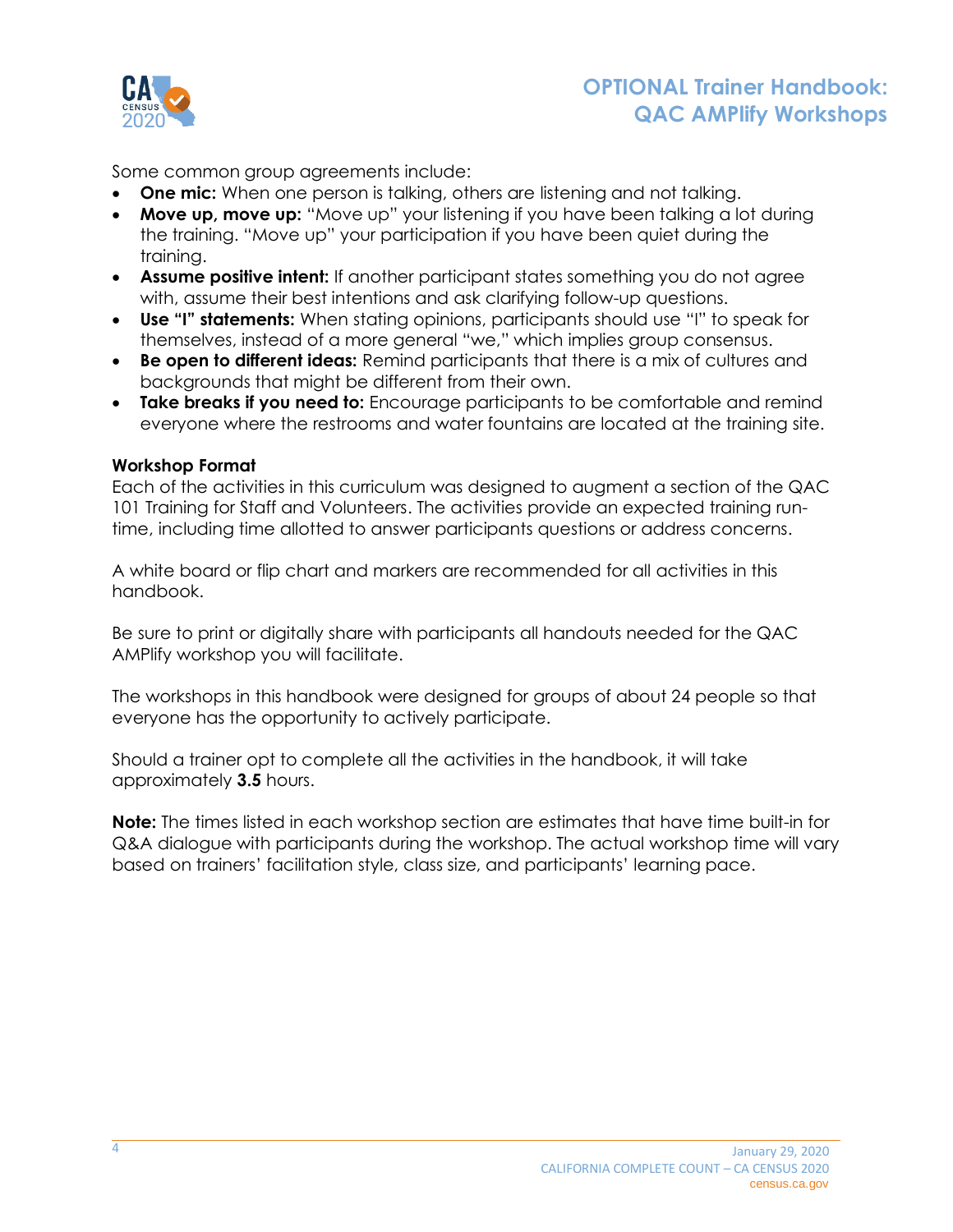

Some common group agreements include:

- **One mic:** When one person is talking, others are listening and not talking.
- **Move up, move up:** "Move up" your listening if you have been talking a lot during the training. "Move up" your participation if you have been quiet during the training.
- **Assume positive intent:** If another participant states something you do not agree with, assume their best intentions and ask clarifying follow-up questions.
- **Use "I" statements:** When stating opinions, participants should use "I" to speak for themselves, instead of a more general "we," which implies group consensus.
- **Be open to different ideas:** Remind participants that there is a mix of cultures and backgrounds that might be different from their own.
- **Take breaks if you need to:** Encourage participants to be comfortable and remind everyone where the restrooms and water fountains are located at the training site.

### **Workshop Format**

Each of the activities in this curriculum was designed to augment a section of the QAC 101 Training for Staff and Volunteers. The activities provide an expected training runtime, including time allotted to answer participants questions or address concerns.

A white board or flip chart and markers are recommended for all activities in this handbook.

Be sure to print or digitally share with participants all handouts needed for the QAC AMPlify workshop you will facilitate.

The workshops in this handbook were designed for groups of about 24 people so that everyone has the opportunity to actively participate.

Should a trainer opt to complete all the activities in the handbook, it will take approximately **3.5** hours.

**Note:** The times listed in each workshop section are estimates that have time built-in for Q&A dialogue with participants during the workshop. The actual workshop time will vary based on trainers' facilitation style, class size, and participants' learning pace.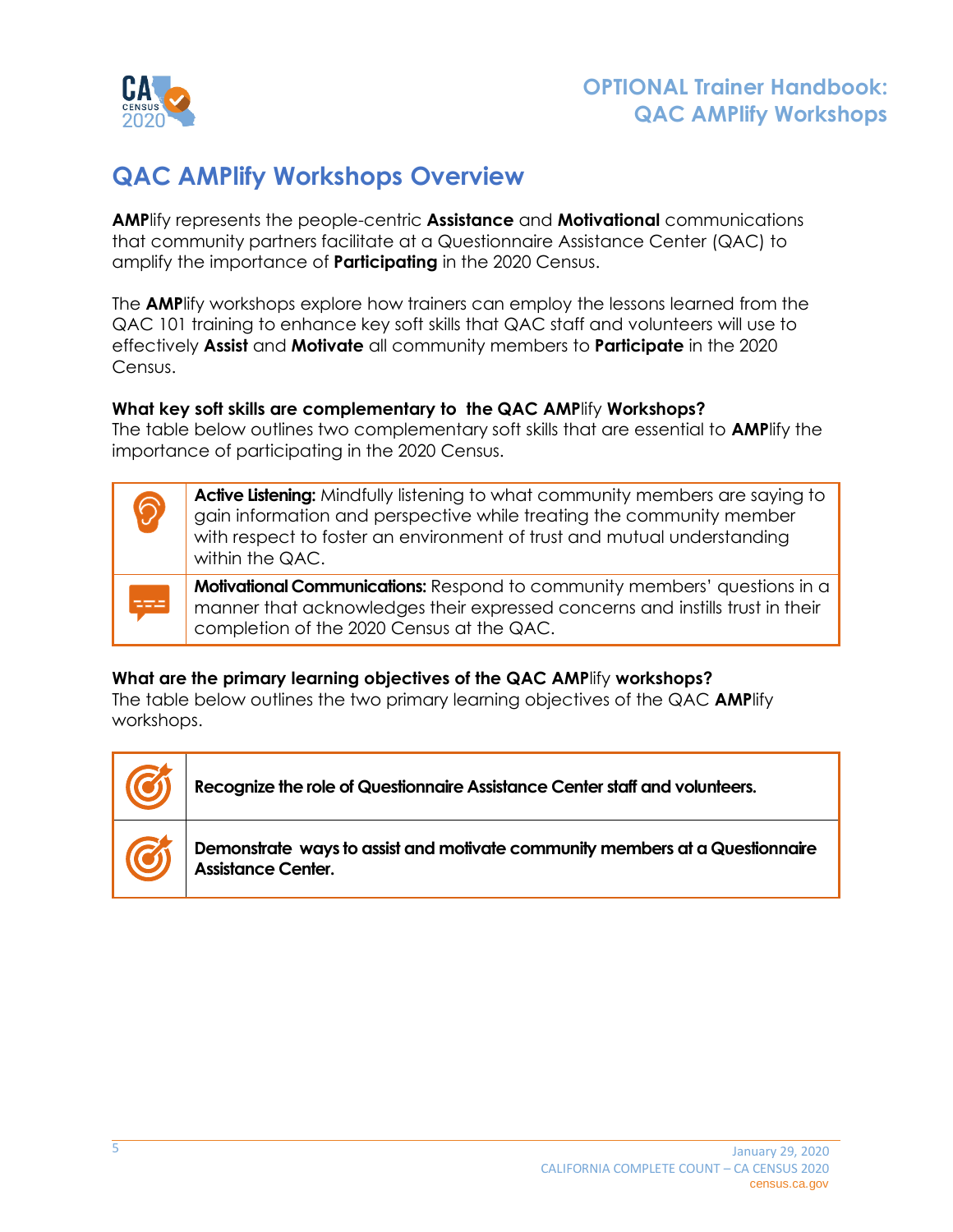

## <span id="page-4-0"></span>**QAC AMPlify Workshops Overview**

**AMP**lify represents the people-centric **Assistance** and **Motivational** communications that community partners facilitate at a Questionnaire Assistance Center (QAC) to amplify the importance of **Participating** in the 2020 Census.

The **AMP**lify workshops explore how trainers can employ the lessons learned from the QAC 101 training to enhance key soft skills that QAC staff and volunteers will use to effectively **Assist** and **Motivate** all community members to **Participate** in the 2020 Census.

#### **What key soft skills are complementary to the QAC AMP**lify **Workshops?**

The table below outlines two complementary soft skills that are essential to **AMP**lify the importance of participating in the 2020 Census.

| $\circledS$ | Active Listening: Mindfully listening to what community members are saying to<br>gain information and perspective while treating the community member<br>with respect to foster an environment of trust and mutual understanding<br>within the QAC. |
|-------------|-----------------------------------------------------------------------------------------------------------------------------------------------------------------------------------------------------------------------------------------------------|
| ⋍⋍⋍         | <b>Motivational Communications:</b> Respond to community members' questions in a<br>manner that acknowledges their expressed concerns and instills trust in their<br>completion of the 2020 Census at the QAC.                                      |

### **What are the primary learning objectives of the QAC AMP**lify **workshops?**

The table below outlines the two primary learning objectives of the QAC **AMP**lify workshops.

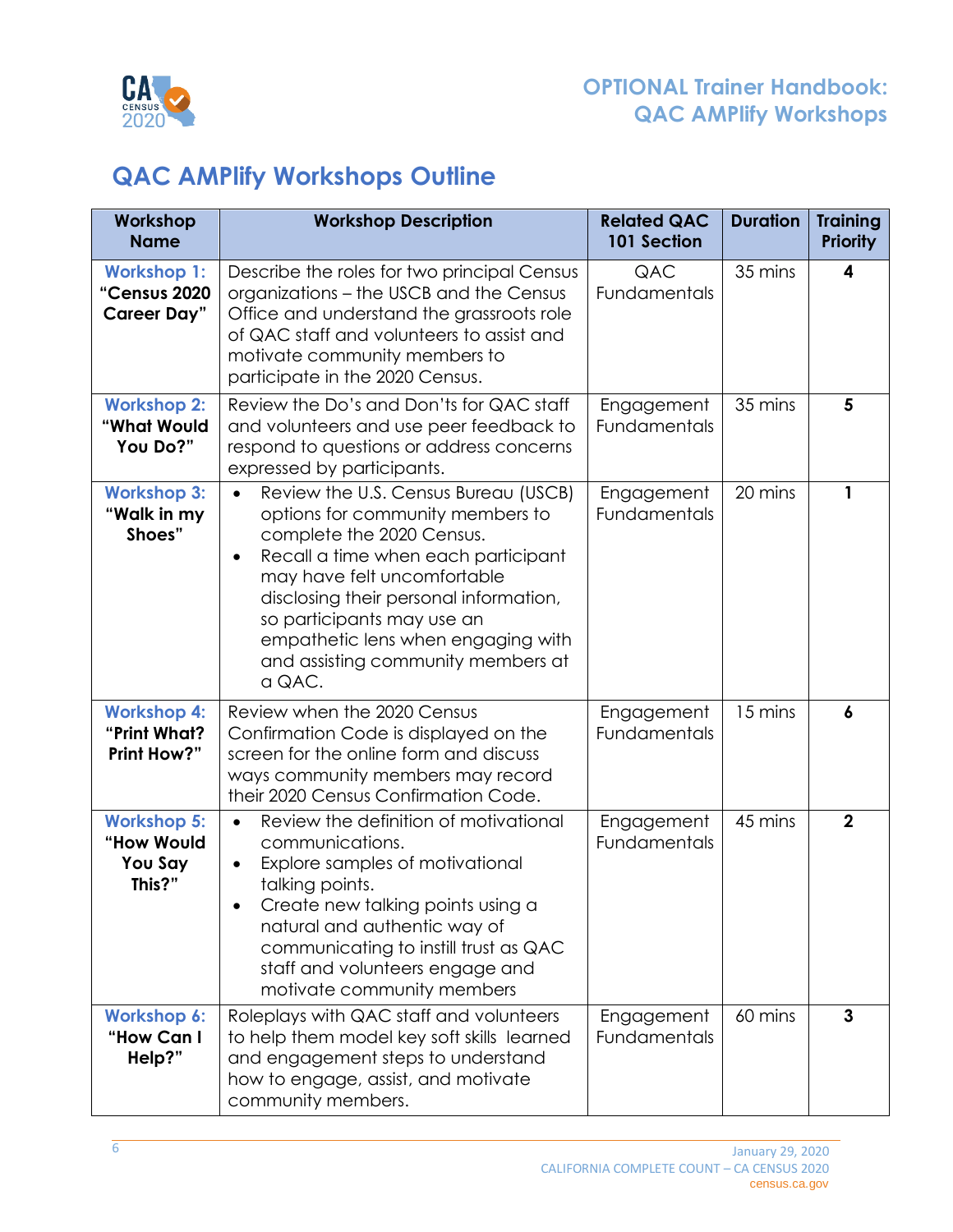

## <span id="page-5-0"></span>**QAC AMPlify Workshops Outline**

| Workshop<br><b>Name</b>                                  | <b>Workshop Description</b>                                                                                                                                                                                                                                                                                                                                         | <b>Related QAC</b><br>101 Section | <b>Duration</b> | <b>Training</b><br><b>Priority</b> |
|----------------------------------------------------------|---------------------------------------------------------------------------------------------------------------------------------------------------------------------------------------------------------------------------------------------------------------------------------------------------------------------------------------------------------------------|-----------------------------------|-----------------|------------------------------------|
| <b>Workshop 1:</b><br>"Census 2020<br><b>Career Day"</b> | Describe the roles for two principal Census<br>organizations - the USCB and the Census<br>Office and understand the grassroots role<br>of QAC staff and volunteers to assist and<br>motivate community members to<br>participate in the 2020 Census.                                                                                                                | QAC<br>Fundamentals               | 35 mins         | 4                                  |
| <b>Workshop 2:</b><br>"What Would<br>You Do?"            | Review the Do's and Don'ts for QAC staff<br>and volunteers and use peer feedback to<br>respond to questions or address concerns<br>expressed by participants.                                                                                                                                                                                                       | Engagement<br>Fundamentals        | 35 mins         | 5                                  |
| <b>Workshop 3:</b><br>"Walk in my<br>Shoes"              | Review the U.S. Census Bureau (USCB)<br>$\bullet$<br>options for community members to<br>complete the 2020 Census.<br>Recall a time when each participant<br>$\bullet$<br>may have felt uncomfortable<br>disclosing their personal information,<br>so participants may use an<br>empathetic lens when engaging with<br>and assisting community members at<br>a QAC. | Engagement<br>Fundamentals        | 20 mins         | 1                                  |
| <b>Workshop 4:</b><br>"Print What?<br><b>Print How?"</b> | Review when the 2020 Census<br>Confirmation Code is displayed on the<br>screen for the online form and discuss<br>ways community members may record<br>their 2020 Census Confirmation Code.                                                                                                                                                                         | Engagement<br>Fundamentals        | 15 mins         | 6                                  |
| <b>Workshop 5:</b><br>"How Would<br>You Say<br>This?"    | Review the definition of motivational<br>$\bullet$<br>communications.<br>Explore samples of motivational<br>$\bullet$<br>talking points.<br>Create new talking points using a<br>natural and authentic way of<br>communicating to instill trust as QAC<br>staff and volunteers engage and<br>motivate community members                                             | Engagement<br>Fundamentals        | 45 mins         | $\overline{2}$                     |
| <b>Workshop 6:</b><br>"How Can I<br>Help?"               | Roleplays with QAC staff and volunteers<br>to help them model key soft skills learned<br>and engagement steps to understand<br>how to engage, assist, and motivate<br>community members.                                                                                                                                                                            | Engagement<br>Fundamentals        | 60 mins         | $\mathbf{3}$                       |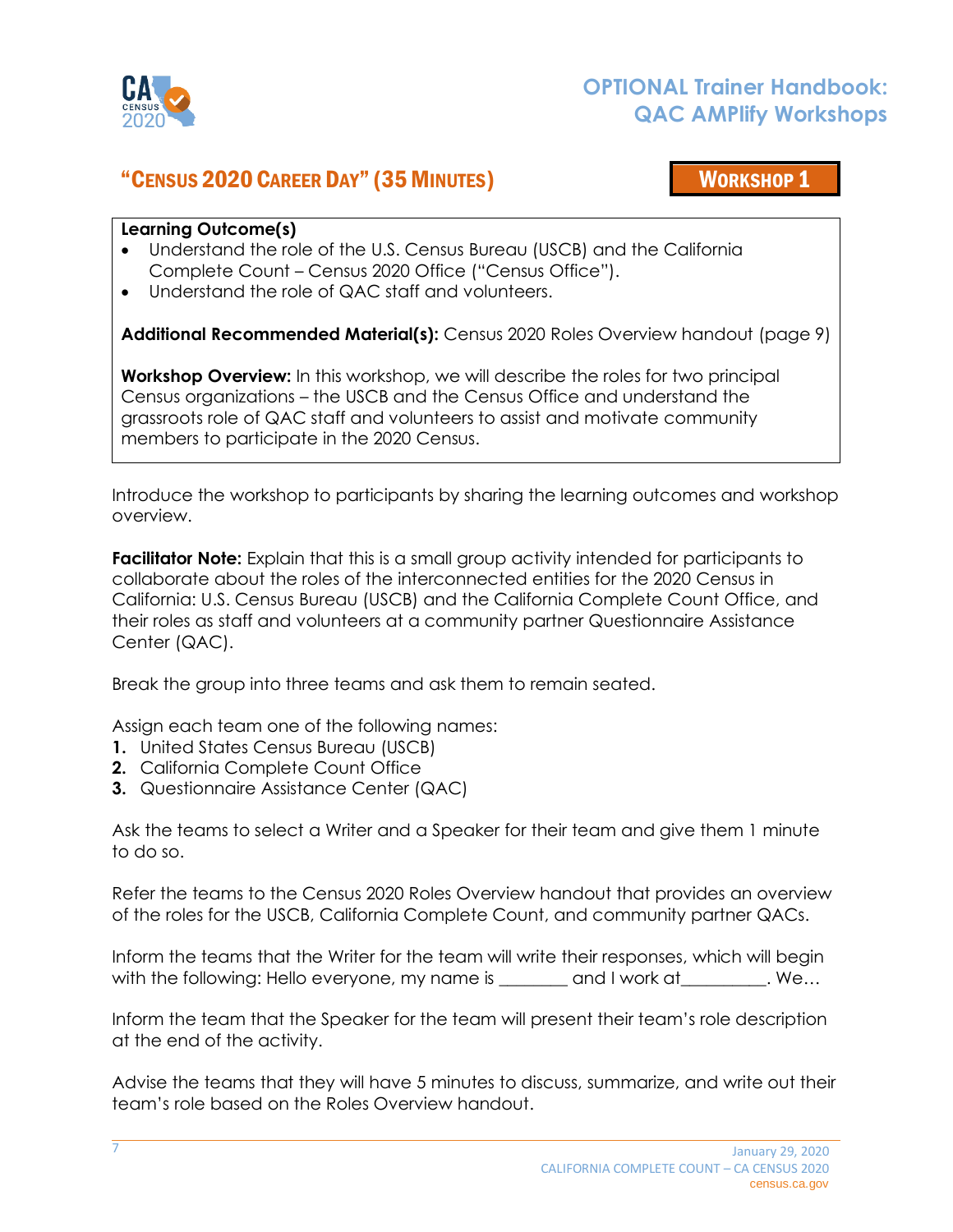

## <span id="page-6-0"></span>"CENSUS 2020 CAREER DAY" (35MINUTES) WORKSHOP 1

### **Learning Outcome(s)**

- Understand the role of the U.S. Census Bureau (USCB) and the California Complete Count – Census 2020 Office ("Census Office").
- Understand the role of QAC staff and volunteers.

**Additional Recommended Material(s):** Census 2020 Roles Overview handout (page 9)

**Workshop Overview:** In this workshop, we will describe the roles for two principal Census organizations – the USCB and the Census Office and understand the grassroots role of QAC staff and volunteers to assist and motivate community members to participate in the 2020 Census.

Introduce the workshop to participants by sharing the learning outcomes and workshop overview.

**Facilitator Note:** Explain that this is a small group activity intended for participants to collaborate about the roles of the interconnected entities for the 2020 Census in California: U.S. Census Bureau (USCB) and the California Complete Count Office, and their roles as staff and volunteers at a community partner Questionnaire Assistance Center (QAC).

Break the group into three teams and ask them to remain seated.

Assign each team one of the following names:

- **1.** United States Census Bureau (USCB)
- **2.** California Complete Count Office
- **3.** Questionnaire Assistance Center (QAC)

Ask the teams to select a Writer and a Speaker for their team and give them 1 minute to do so.

Refer the teams to the Census 2020 Roles Overview handout that provides an overview of the roles for the USCB, California Complete Count, and community partner QACs.

Inform the teams that the Writer for the team will write their responses, which will begin with the following: Hello everyone, my name is each and I work at \_\_\_\_\_\_\_\_. We...

Inform the team that the Speaker for the team will present their team's role description at the end of the activity.

Advise the teams that they will have 5 minutes to discuss, summarize, and write out their team's role based on the Roles Overview handout.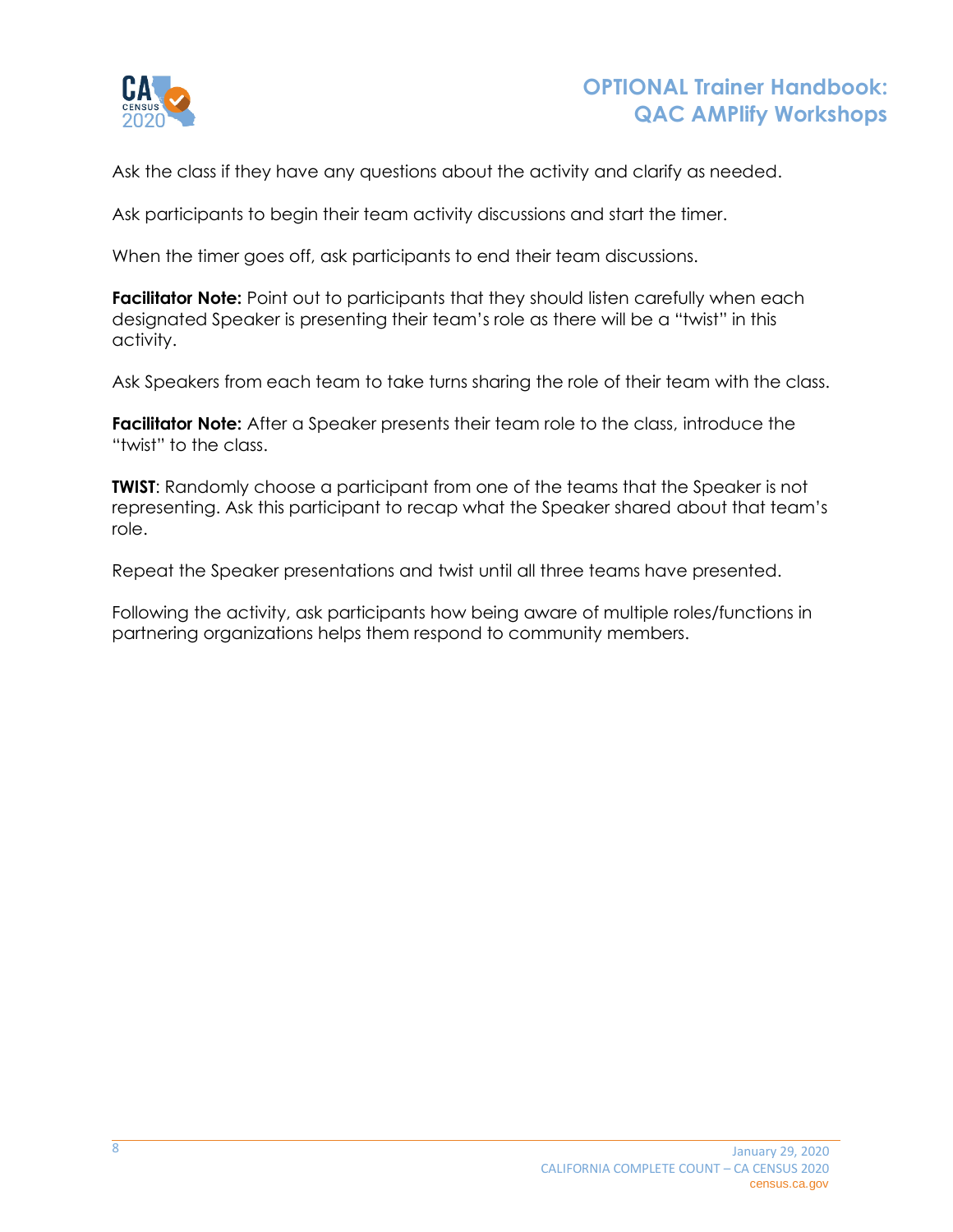

Ask the class if they have any questions about the activity and clarify as needed.

Ask participants to begin their team activity discussions and start the timer.

When the timer goes off, ask participants to end their team discussions.

**Facilitator Note:** Point out to participants that they should listen carefully when each designated Speaker is presenting their team's role as there will be a "twist" in this activity.

Ask Speakers from each team to take turns sharing the role of their team with the class.

**Facilitator Note:** After a Speaker presents their team role to the class, introduce the "twist" to the class.

**TWIST**: Randomly choose a participant from one of the teams that the Speaker is not representing. Ask this participant to recap what the Speaker shared about that team's role.

Repeat the Speaker presentations and twist until all three teams have presented.

Following the activity, ask participants how being aware of multiple roles/functions in partnering organizations helps them respond to community members.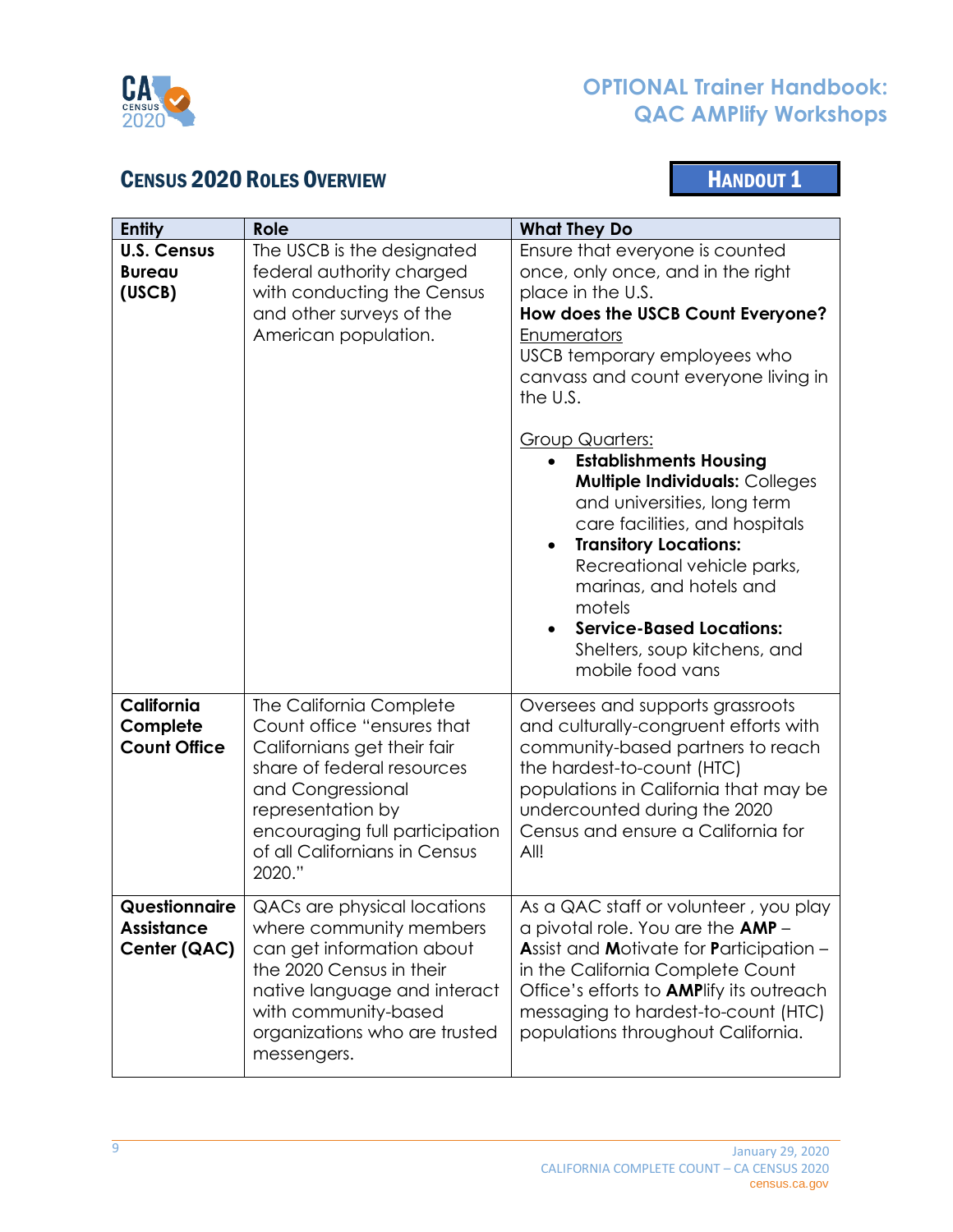

## <span id="page-8-0"></span>**CENSUS 2020 ROLES OVERVIEW CENSUS 2020 ROLES**

| <b>Entity</b>                                      | <b>Role</b>                                                                                                                                                                                                                               | <b>What They Do</b>                                                                                                                                                                                                                                                                                                                                                                                                                                                                                                                                                                               |
|----------------------------------------------------|-------------------------------------------------------------------------------------------------------------------------------------------------------------------------------------------------------------------------------------------|---------------------------------------------------------------------------------------------------------------------------------------------------------------------------------------------------------------------------------------------------------------------------------------------------------------------------------------------------------------------------------------------------------------------------------------------------------------------------------------------------------------------------------------------------------------------------------------------------|
| <b>U.S. Census</b><br><b>Bureau</b><br>(USCB)      | The USCB is the designated<br>federal authority charged<br>with conducting the Census<br>and other surveys of the<br>American population.                                                                                                 | Ensure that everyone is counted<br>once, only once, and in the right<br>place in the U.S.<br>How does the USCB Count Everyone?<br>Enumerators<br>USCB temporary employees who<br>canvass and count everyone living in<br>the U.S.<br><b>Group Quarters:</b><br><b>Establishments Housing</b><br><b>Multiple Individuals: Colleges</b><br>and universities, long term<br>care facilities, and hospitals<br><b>Transitory Locations:</b><br>Recreational vehicle parks,<br>marinas, and hotels and<br>motels<br><b>Service-Based Locations:</b><br>Shelters, soup kitchens, and<br>mobile food vans |
| California<br>Complete<br><b>Count Office</b>      | The California Complete<br>Count office "ensures that<br>Californians get their fair<br>share of federal resources<br>and Congressional<br>representation by<br>encouraging full participation<br>of all Californians in Census<br>2020." | Oversees and supports grassroots<br>and culturally-congruent efforts with<br>community-based partners to reach<br>the hardest-to-count (HTC)<br>populations in California that may be<br>undercounted during the 2020<br>Census and ensure a California for<br>All!                                                                                                                                                                                                                                                                                                                               |
| Questionnaire<br><b>Assistance</b><br>Center (QAC) | QACs are physical locations<br>where community members<br>can get information about<br>the 2020 Census in their<br>native language and interact<br>with community-based<br>organizations who are trusted<br>messengers.                   | As a QAC staff or volunteer, you play<br>a pivotal role. You are the AMP -<br><b>Assist and Motivate for Participation -</b><br>in the California Complete Count<br>Office's efforts to <b>AMP</b> lify its outreach<br>messaging to hardest-to-count (HTC)<br>populations throughout California.                                                                                                                                                                                                                                                                                                 |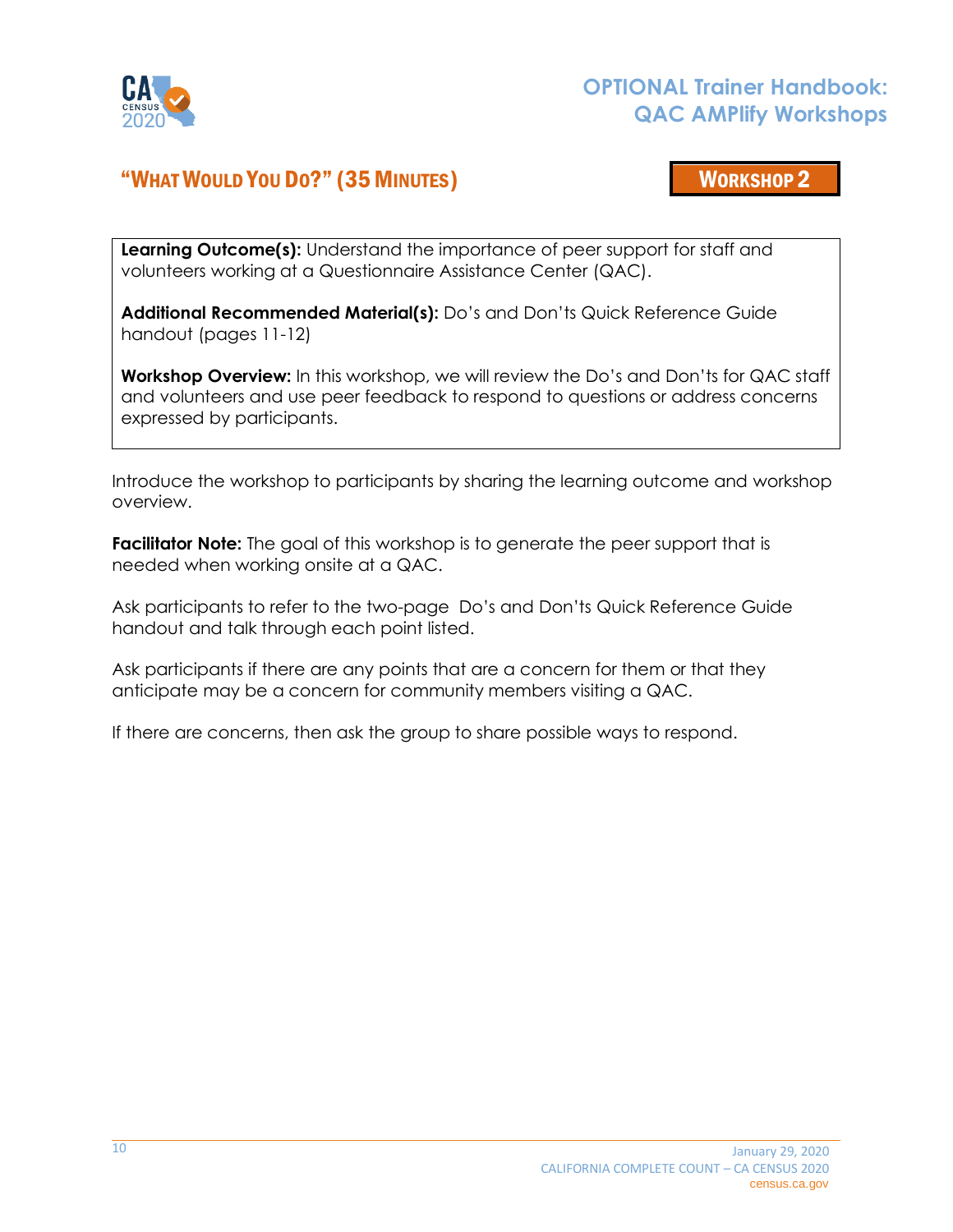

## <span id="page-9-0"></span>"WHAT WOULD YOU DO?" (35 MINUTES) WORKSHOP 2

**Learning Outcome(s):** Understand the importance of peer support for staff and volunteers working at a Questionnaire Assistance Center (QAC).

**Additional Recommended Material(s):** Do's and Don'ts Quick Reference Guide handout (pages 11-12)

**Workshop Overview:** In this workshop, we will review the Do's and Don'ts for QAC staff and volunteers and use peer feedback to respond to questions or address concerns expressed by participants.

Introduce the workshop to participants by sharing the learning outcome and workshop overview.

**Facilitator Note:** The goal of this workshop is to generate the peer support that is needed when working onsite at a QAC.

Ask participants to refer to the two-page Do's and Don'ts Quick Reference Guide handout and talk through each point listed.

Ask participants if there are any points that are a concern for them or that they anticipate may be a concern for community members visiting a QAC.

If there are concerns, then ask the group to share possible ways to respond.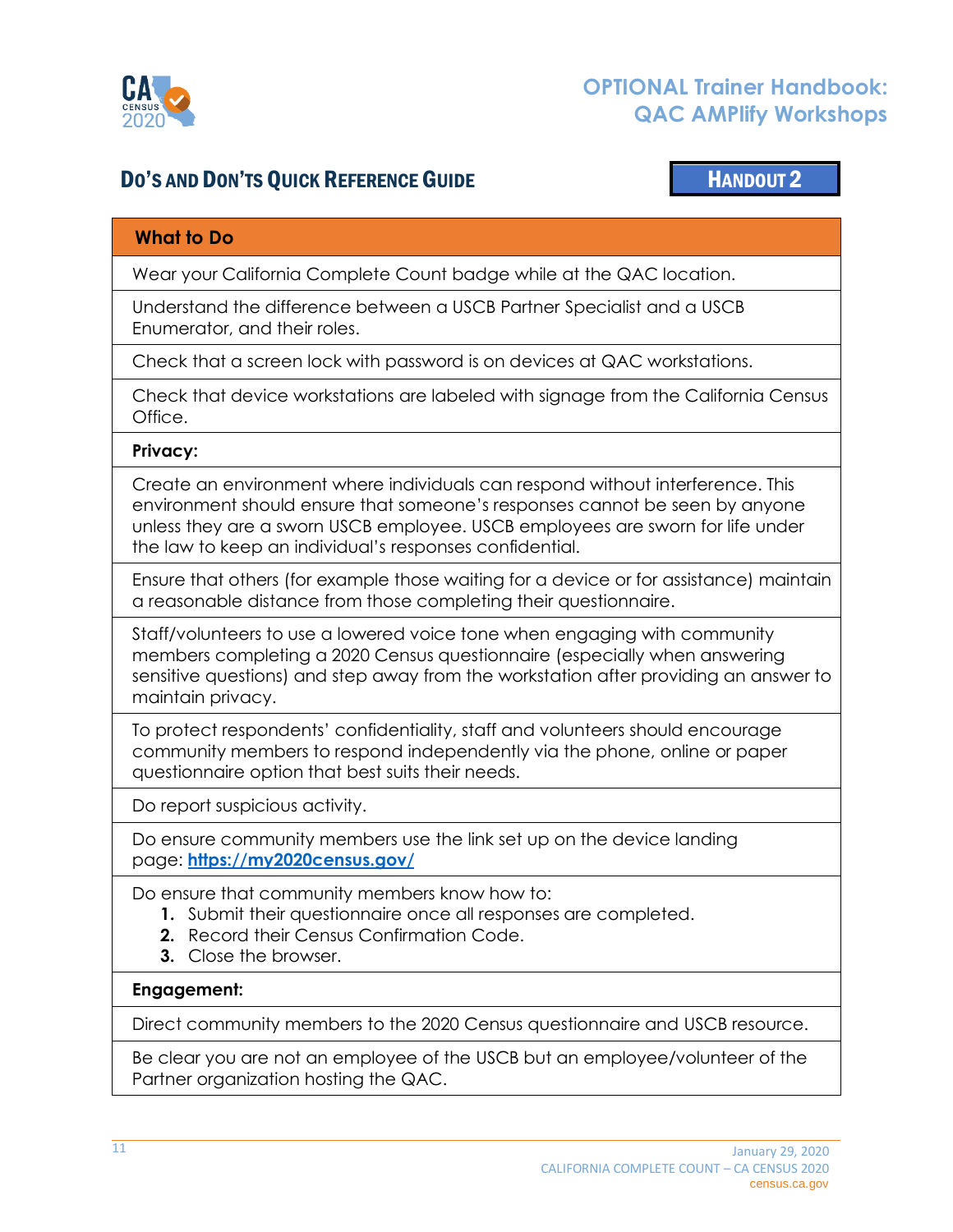

## DO'S AND DON'TS QUICK REFERENCE GUIDE **HANDOUT 2**

## <span id="page-10-0"></span>**What to Do**

Wear your California Complete Count badge while at the QAC location.

Understand the difference between a USCB Partner Specialist and a USCB Enumerator, and their roles.

Check that a screen lock with password is on devices at QAC workstations.

Check that device workstations are labeled with signage from the California Census Office.

#### **Privacy:**

Create an environment where individuals can respond without interference. This environment should ensure that someone's responses cannot be seen by anyone unless they are a sworn USCB employee. USCB employees are sworn for life under the law to keep an individual's responses confidential.

Ensure that others (for example those waiting for a device or for assistance) maintain a reasonable distance from those completing their questionnaire.

Staff/volunteers to use a lowered voice tone when engaging with community members completing a 2020 Census questionnaire (especially when answering sensitive questions) and step away from the workstation after providing an answer to maintain privacy.

To protect respondents' confidentiality, staff and volunteers should encourage community members to respond independently via the phone, online or paper questionnaire option that best suits their needs.

Do report suspicious activity.

Do ensure community members use the link set up on the device landing page: **https://my[2020census.go](https://my2020census.gov/)v/**

Do ensure that community members know how to:

- **1.** Submit their questionnaire once all responses are completed.
- **2.** Record their Census Confirmation Code.
- **3.** Close the browser.

#### **Engagement:**

Direct community members to the 2020 Census questionnaire and USCB resource.

Be clear you are not an employee of the USCB but an employee/volunteer of the Partner organization hosting the QAC.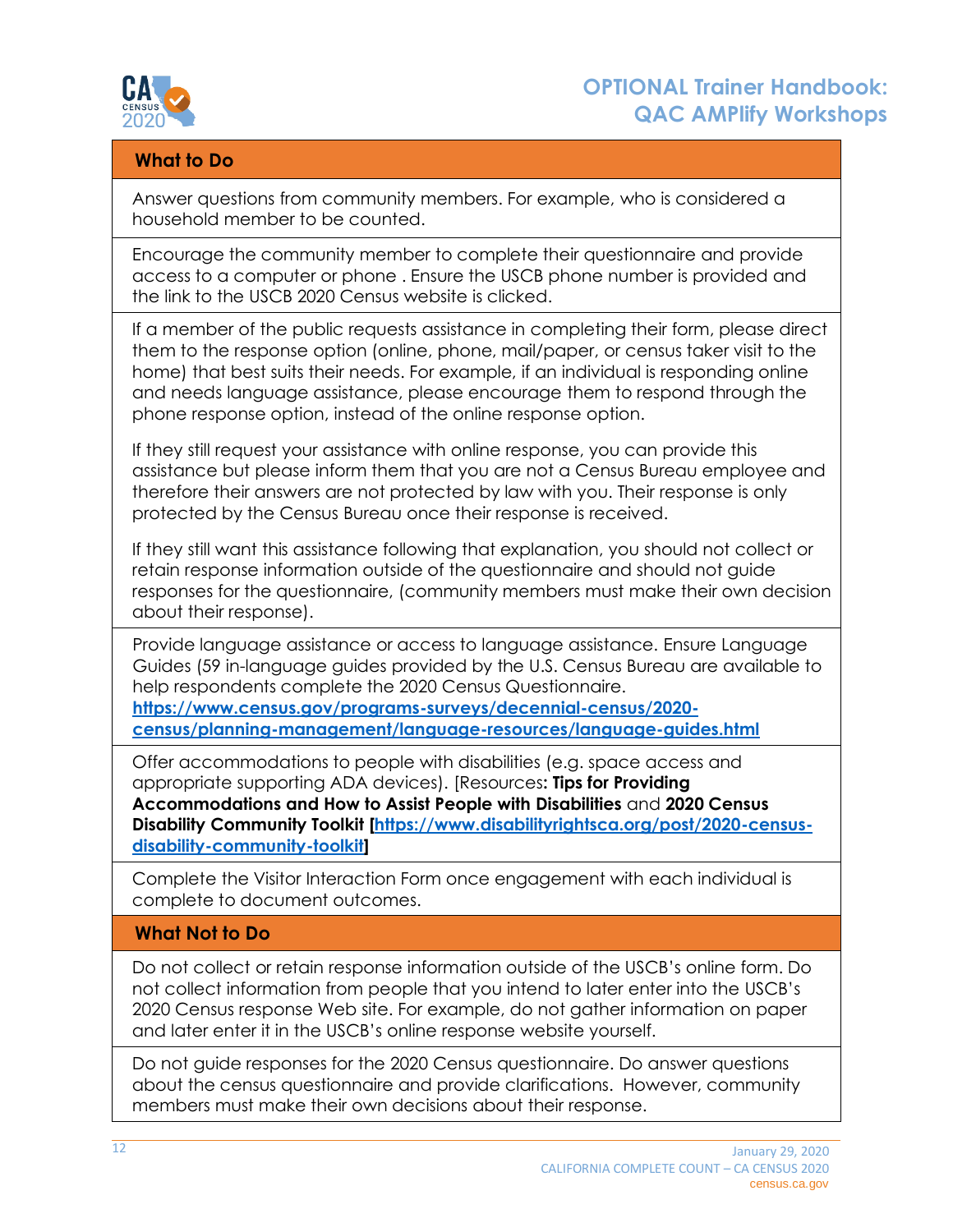

## **What to Do**

Answer questions from community members. For example, who is considered a household member to be counted.

Encourage the community member to complete their questionnaire and provide access to a computer or phone . Ensure the USCB phone number is provided and the link to the USCB 2020 Census website is clicked.

If a member of the public requests assistance in completing their form, please direct them to the response option (online, phone, mail/paper, or census taker visit to the home) that best suits their needs. For example, if an individual is responding online and needs language assistance, please encourage them to respond through the phone response option, instead of the online response option.

If they still request your assistance with online response, you can provide this assistance but please inform them that you are not a Census Bureau employee and therefore their answers are not protected by law with you. Their response is only protected by the Census Bureau once their response is received.

If they still want this assistance following that explanation, you should not collect or retain response information outside of the questionnaire and should not guide responses for the questionnaire, (community members must make their own decision about their response).

Provide language assistance or access to language assistance. Ensure Language Guides (59 in-language guides provided by the U.S. Census Bureau are available to help respondents complete the 2020 Census Questionnaire. **[https://www.census.gov/programs-surveys/decennial-census/2020](https://www.census.gov/programs-surveys/decennial-census/2020-census/planning-management/language-resources/language-guides.html) [census/planning-management/language-resources/language-guides.html](https://www.census.gov/programs-surveys/decennial-census/2020-census/planning-management/language-resources/language-guides.html)**

Offer accommodations to people with disabilities (e.g. space access and appropriate supporting ADA devices). [Resources**: Tips for Providing Accommodations and How to Assist People with Disabilities** and **2020 Census Disability Community Toolkit [\[https://www.disabilityrightsca.org/post/2020-census](https://www.disabilityrightsca.org/post/2020-census-disability-community-toolkit)[disability-community-toolkit\]](https://www.disabilityrightsca.org/post/2020-census-disability-community-toolkit)**

Complete the Visitor Interaction Form once engagement with each individual is complete to document outcomes.

### **What Not to Do**

Do not collect or retain response information outside of the USCB's online form. Do not collect information from people that you intend to later enter into the USCB's 2020 Census response Web site. For example, do not gather information on paper and later enter it in the USCB's online response website yourself.

Do not guide responses for the 2020 Census questionnaire. Do answer questions about the census questionnaire and provide clarifications. However, community members must make their own decisions about their response.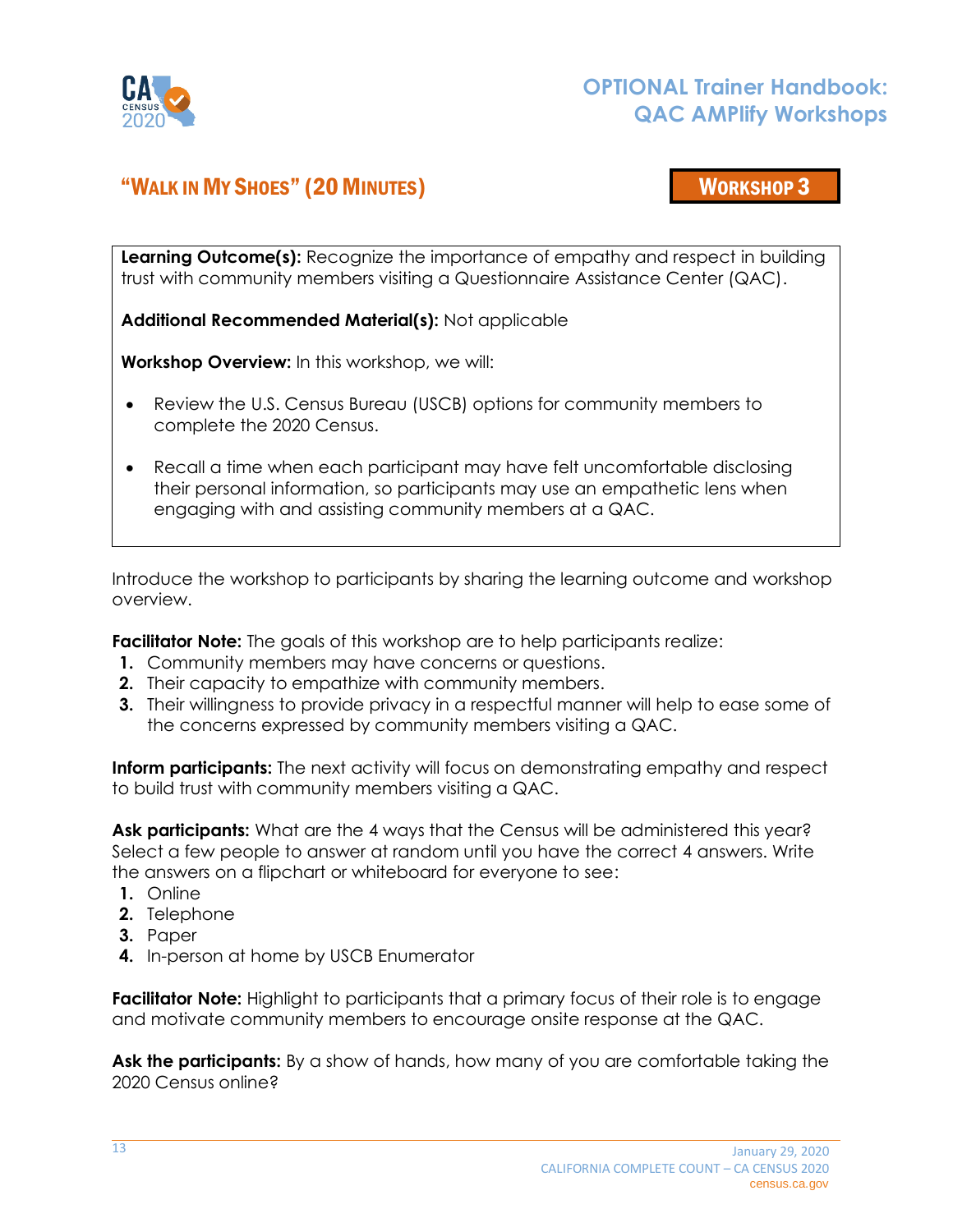

## <span id="page-12-0"></span>"WALK IN MY SHOES" (20 MINUTES) WORKSHOP 3

**Learning Outcome(s):** Recognize the importance of empathy and respect in building trust with community members visiting a Questionnaire Assistance Center (QAC).

**Additional Recommended Material(s):** Not applicable

**Workshop Overview:** In this workshop, we will:

- Review the U.S. Census Bureau (USCB) options for community members to complete the 2020 Census.
- Recall a time when each participant may have felt uncomfortable disclosing their personal information, so participants may use an empathetic lens when engaging with and assisting community members at a QAC.

Introduce the workshop to participants by sharing the learning outcome and workshop overview.

**Facilitator Note:** The goals of this workshop are to help participants realize:

- **1.** Community members may have concerns or questions.
- **2.** Their capacity to empathize with community members.
- **3.** Their willingness to provide privacy in a respectful manner will help to ease some of the concerns expressed by community members visiting a QAC.

**Inform participants:** The next activity will focus on demonstrating empathy and respect to build trust with community members visiting a QAC.

Ask participants: What are the 4 ways that the Census will be administered this year? Select a few people to answer at random until you have the correct 4 answers. Write the answers on a flipchart or whiteboard for everyone to see:

- **1.** Online
- **2.** Telephone
- **3.** Paper
- **4.** In-person at home by USCB Enumerator

**Facilitator Note:** Highlight to participants that a primary focus of their role is to engage and motivate community members to encourage onsite response at the QAC.

**Ask the participants:** By a show of hands, how many of you are comfortable taking the 2020 Census online?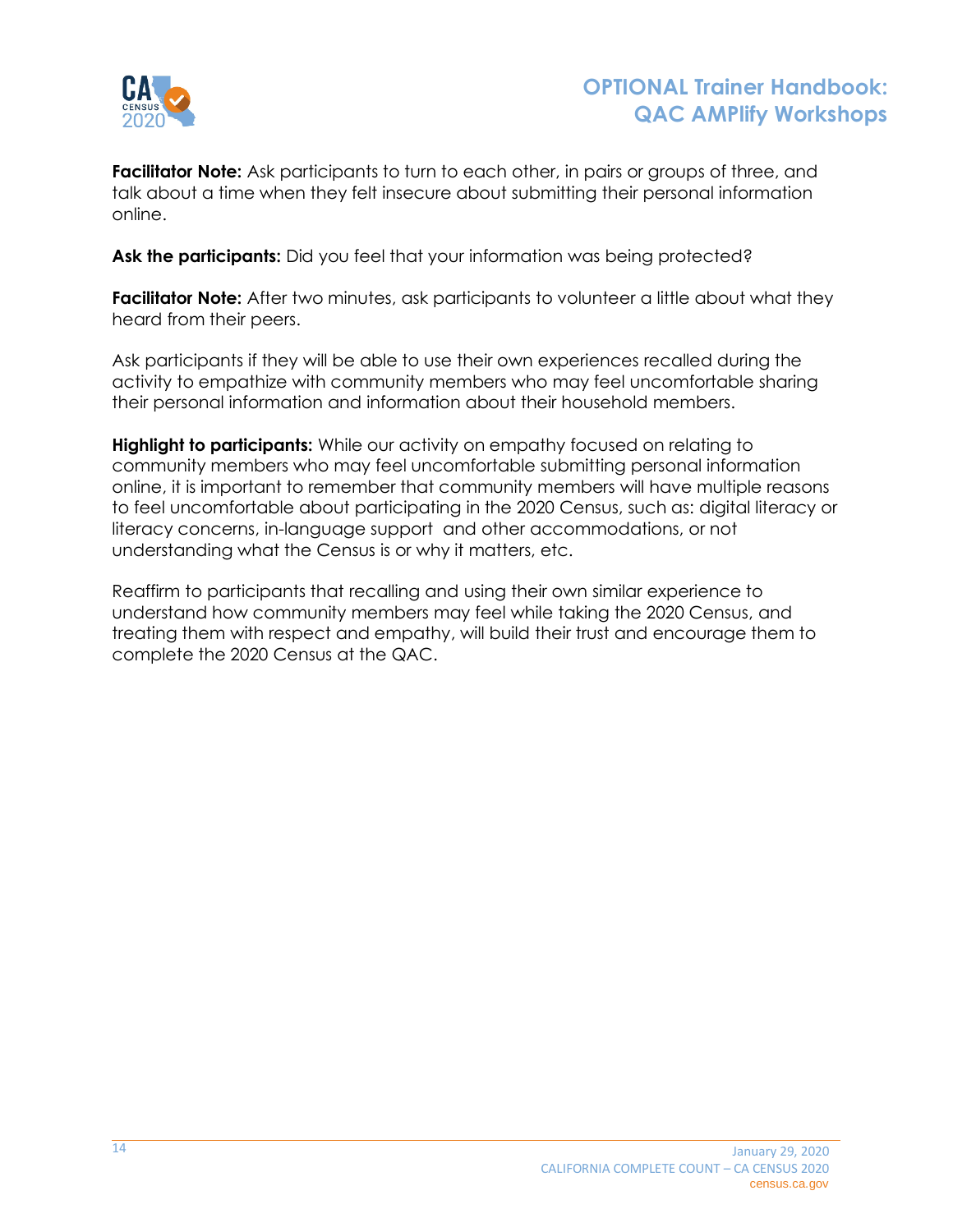

**Facilitator Note:** Ask participants to turn to each other, in pairs or groups of three, and talk about a time when they felt insecure about submitting their personal information online.

**Ask the participants:** Did you feel that your information was being protected?

**Facilitator Note:** After two minutes, ask participants to volunteer a little about what they heard from their peers.

Ask participants if they will be able to use their own experiences recalled during the activity to empathize with community members who may feel uncomfortable sharing their personal information and information about their household members.

**Highlight to participants:** While our activity on empathy focused on relating to community members who may feel uncomfortable submitting personal information online, it is important to remember that community members will have multiple reasons to feel uncomfortable about participating in the 2020 Census, such as: digital literacy or literacy concerns, in-language support and other accommodations, or not understanding what the Census is or why it matters, etc.

Reaffirm to participants that recalling and using their own similar experience to understand how community members may feel while taking the 2020 Census, and treating them with respect and empathy, will build their trust and encourage them to complete the 2020 Census at the QAC.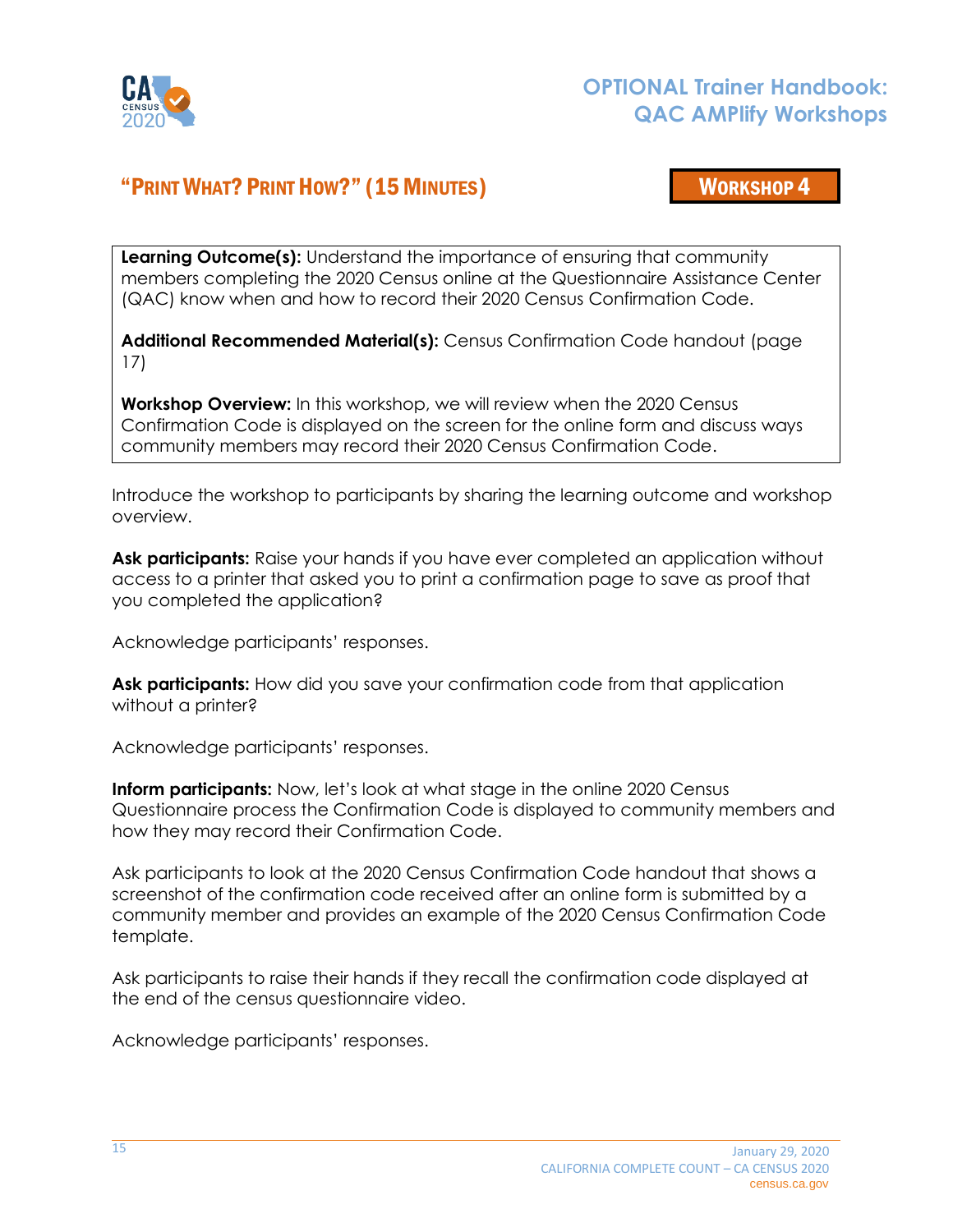

## <span id="page-14-0"></span>"PRINT WHAT? PRINT HOW?" (15MINUTES) WORKSHOP 4

**Learning Outcome(s):** Understand the importance of ensuring that community members completing the 2020 Census online at the Questionnaire Assistance Center (QAC) know when and how to record their 2020 Census Confirmation Code.

**Additional Recommended Material(s):** Census Confirmation Code handout (page 17)

**Workshop Overview:** In this workshop, we will review when the 2020 Census Confirmation Code is displayed on the screen for the online form and discuss ways community members may record their 2020 Census Confirmation Code.

Introduce the workshop to participants by sharing the learning outcome and workshop overview.

**Ask participants:** Raise your hands if you have ever completed an application without access to a printer that asked you to print a confirmation page to save as proof that you completed the application?

Acknowledge participants' responses.

**Ask participants:** How did you save your confirmation code from that application without a printer?

Acknowledge participants' responses.

**Inform participants:** Now, let's look at what stage in the online 2020 Census Questionnaire process the Confirmation Code is displayed to community members and how they may record their Confirmation Code.

Ask participants to look at the 2020 Census Confirmation Code handout that shows a screenshot of the confirmation code received after an online form is submitted by a community member and provides an example of the 2020 Census Confirmation Code template.

Ask participants to raise their hands if they recall the confirmation code displayed at the end of the census questionnaire video.

Acknowledge participants' responses.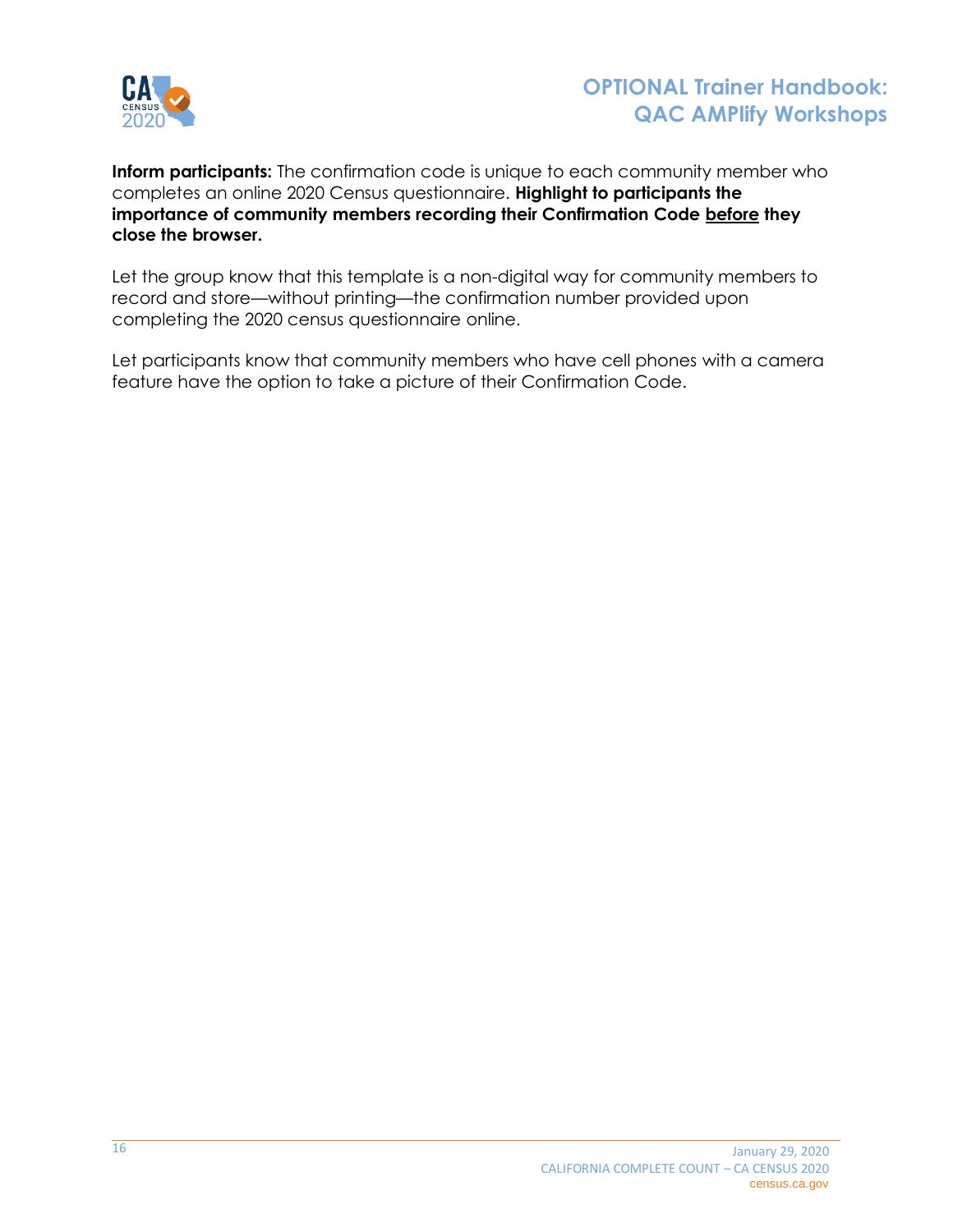

**Inform participants:** The confirmation code is unique to each community member who completes an online 2020 Census questionnaire. **Highlight to participants the importance of community members recording their Confirmation Code before they close the browser.**

Let the group know that this template is a non-digital way for community members to record and store—without printing—the confirmation number provided upon completing the 2020 census questionnaire online.

Let participants know that community members who have cell phones with a camera feature have the option to take a picture of their Confirmation Code.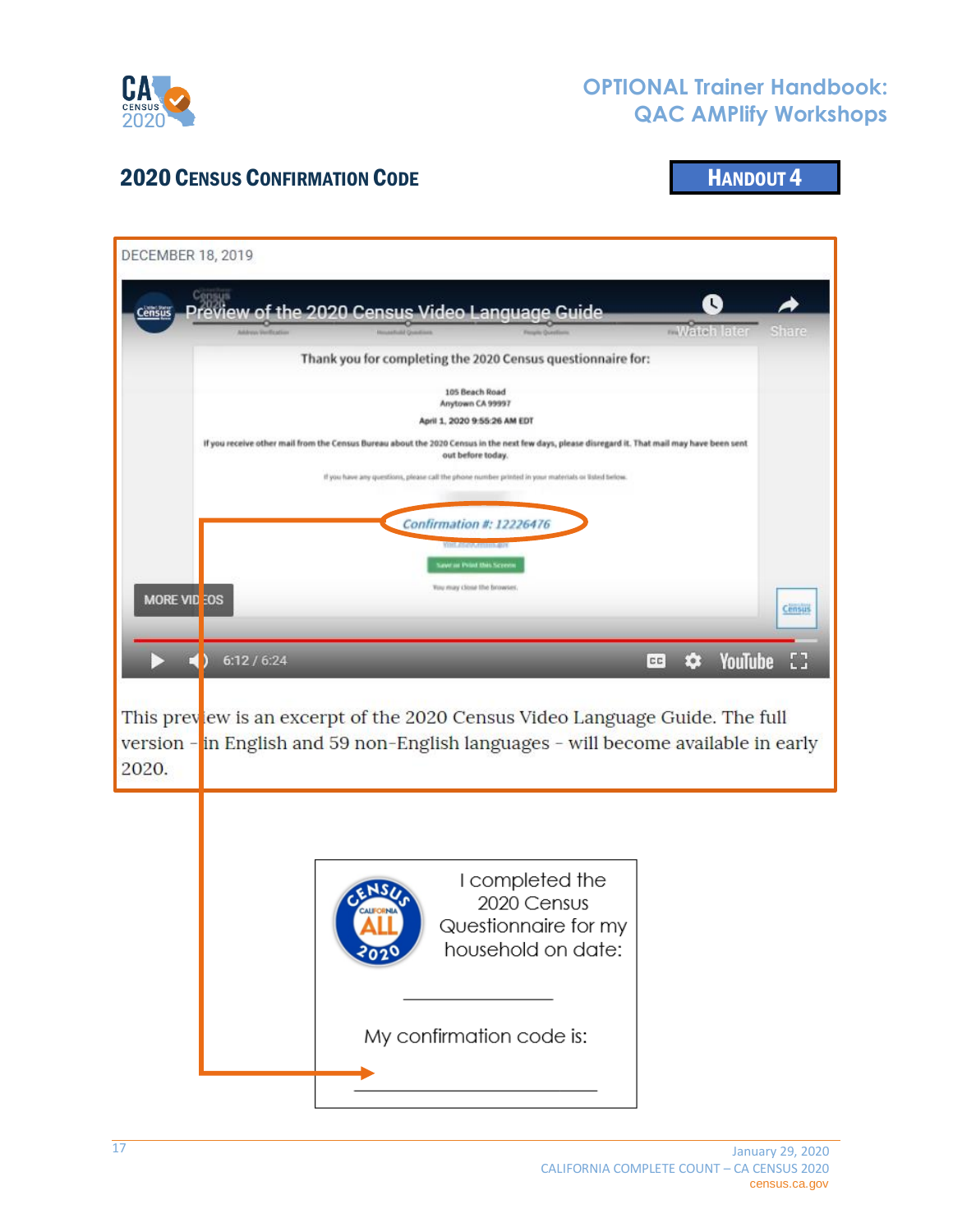

## 2020 CENSUS CONFIRMATION CODE **HANDOUT 4**

<span id="page-16-0"></span>

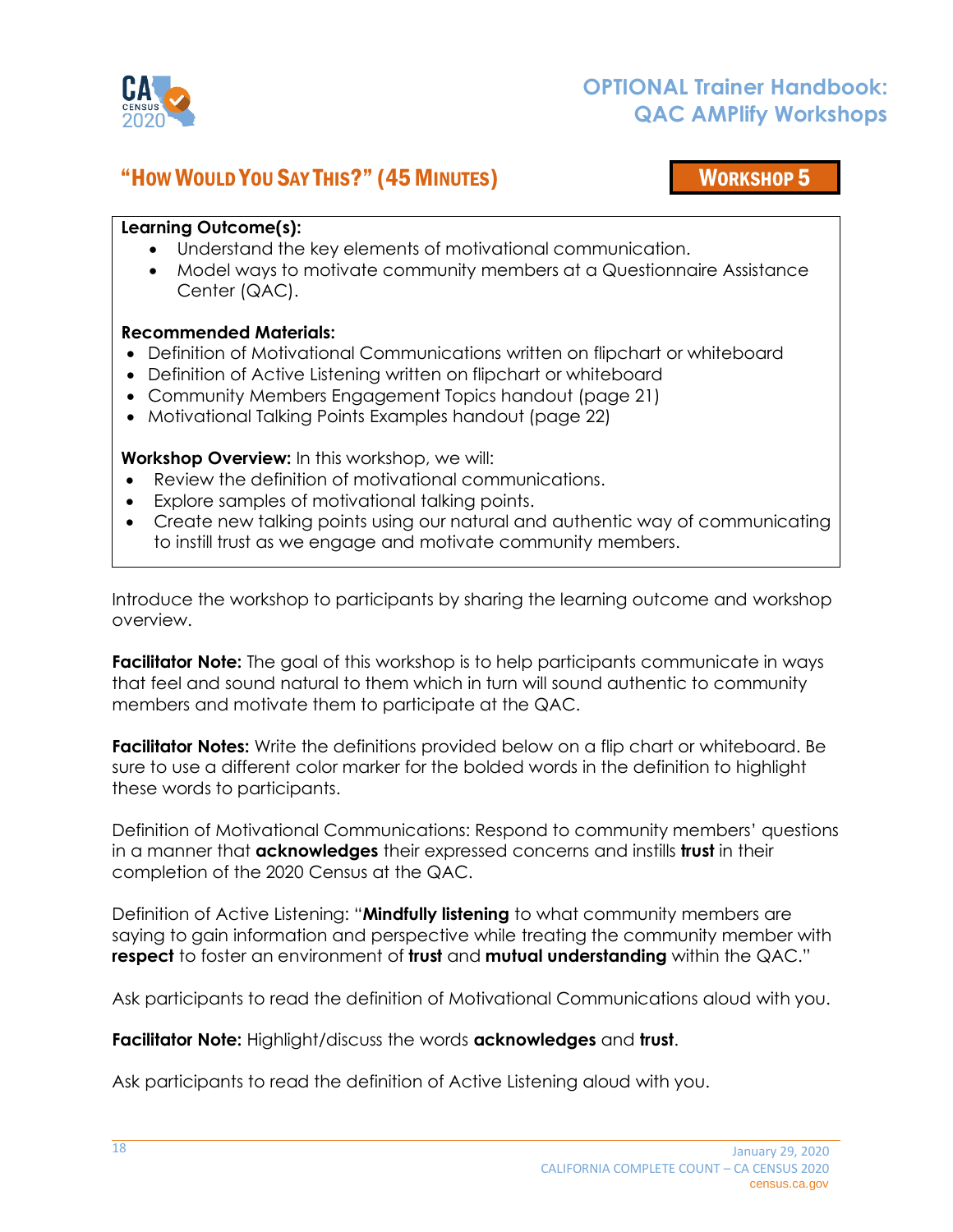

## "HOW WOULD YOU SAY THIS?" (45MINUTES) WORKSHOP 5

<span id="page-17-0"></span>

### **Learning Outcome(s):**

- Understand the key elements of motivational communication.
- Model ways to motivate community members at a Questionnaire Assistance Center (QAC).

### **Recommended Materials:**

- Definition of Motivational Communications written on flipchart or whiteboard
- Definition of Active Listening written on flipchart or whiteboard
- Community Members Engagement Topics handout (page 21)
- Motivational Talking Points Examples handout (page 22)

**Workshop Overview:** In this workshop, we will:

- Review the definition of motivational communications.
- Explore samples of motivational talking points.
- Create new talking points using our natural and authentic way of communicating to instill trust as we engage and motivate community members.

Introduce the workshop to participants by sharing the learning outcome and workshop overview.

**Facilitator Note:** The goal of this workshop is to help participants communicate in ways that feel and sound natural to them which in turn will sound authentic to community members and motivate them to participate at the QAC.

**Facilitator Notes:** Write the definitions provided below on a flip chart or whiteboard. Be sure to use a different color marker for the bolded words in the definition to highlight these words to participants.

Definition of Motivational Communications: Respond to community members' questions in a manner that **acknowledges** their expressed concerns and instills **trust** in their completion of the 2020 Census at the QAC.

Definition of Active Listening: "**Mindfully listening** to what community members are saying to gain information and perspective while treating the community member with **respect** to foster an environment of **trust** and **mutual understanding** within the QAC."

Ask participants to read the definition of Motivational Communications aloud with you.

**Facilitator Note:** Highlight/discuss the words **acknowledges** and **trust**.

Ask participants to read the definition of Active Listening aloud with you.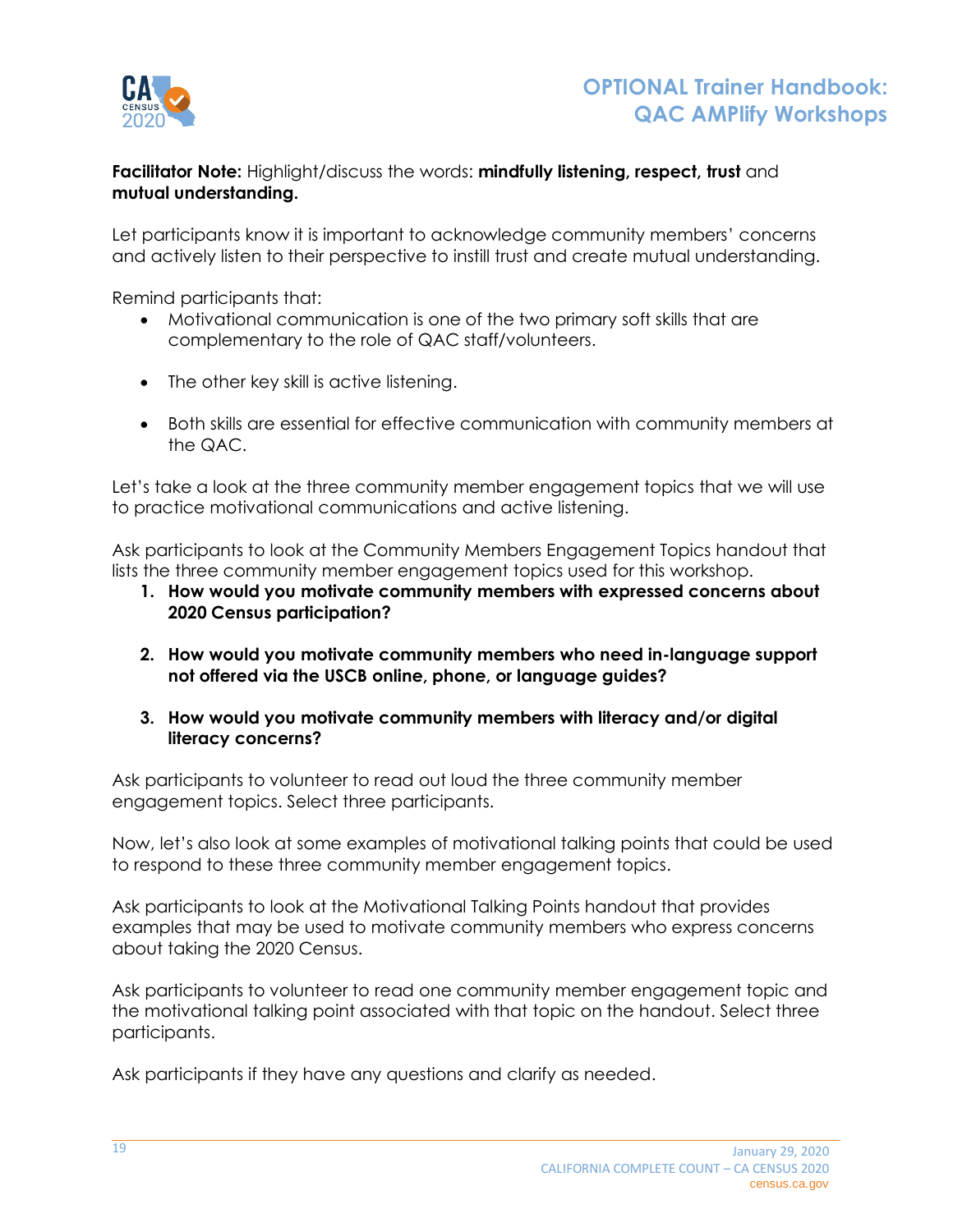

**Facilitator Note:** Highlight/discuss the words: **mindfully listening, respect, trust** and **mutual understanding.**

Let participants know it is important to acknowledge community members' concerns and actively listen to their perspective to instill trust and create mutual understanding.

Remind participants that:

- Motivational communication is one of the two primary soft skills that are complementary to the role of QAC staff/volunteers.
- The other key skill is active listening.
- Both skills are essential for effective communication with community members at the QAC.

Let's take a look at the three community member engagement topics that we will use to practice motivational communications and active listening.

Ask participants to look at the Community Members Engagement Topics handout that lists the three community member engagement topics used for this workshop.

- **1. How would you motivate community members with expressed concerns about 2020 Census participation?**
- **2. How would you motivate community members who need in-language support not offered via the USCB online, phone, or language guides?**
- **3. How would you motivate community members with literacy and/or digital literacy concerns?**

Ask participants to volunteer to read out loud the three community member engagement topics. Select three participants.

Now, let's also look at some examples of motivational talking points that could be used to respond to these three community member engagement topics.

Ask participants to look at the Motivational Talking Points handout that provides examples that may be used to motivate community members who express concerns about taking the 2020 Census.

Ask participants to volunteer to read one community member engagement topic and the motivational talking point associated with that topic on the handout. Select three participants.

Ask participants if they have any questions and clarify as needed.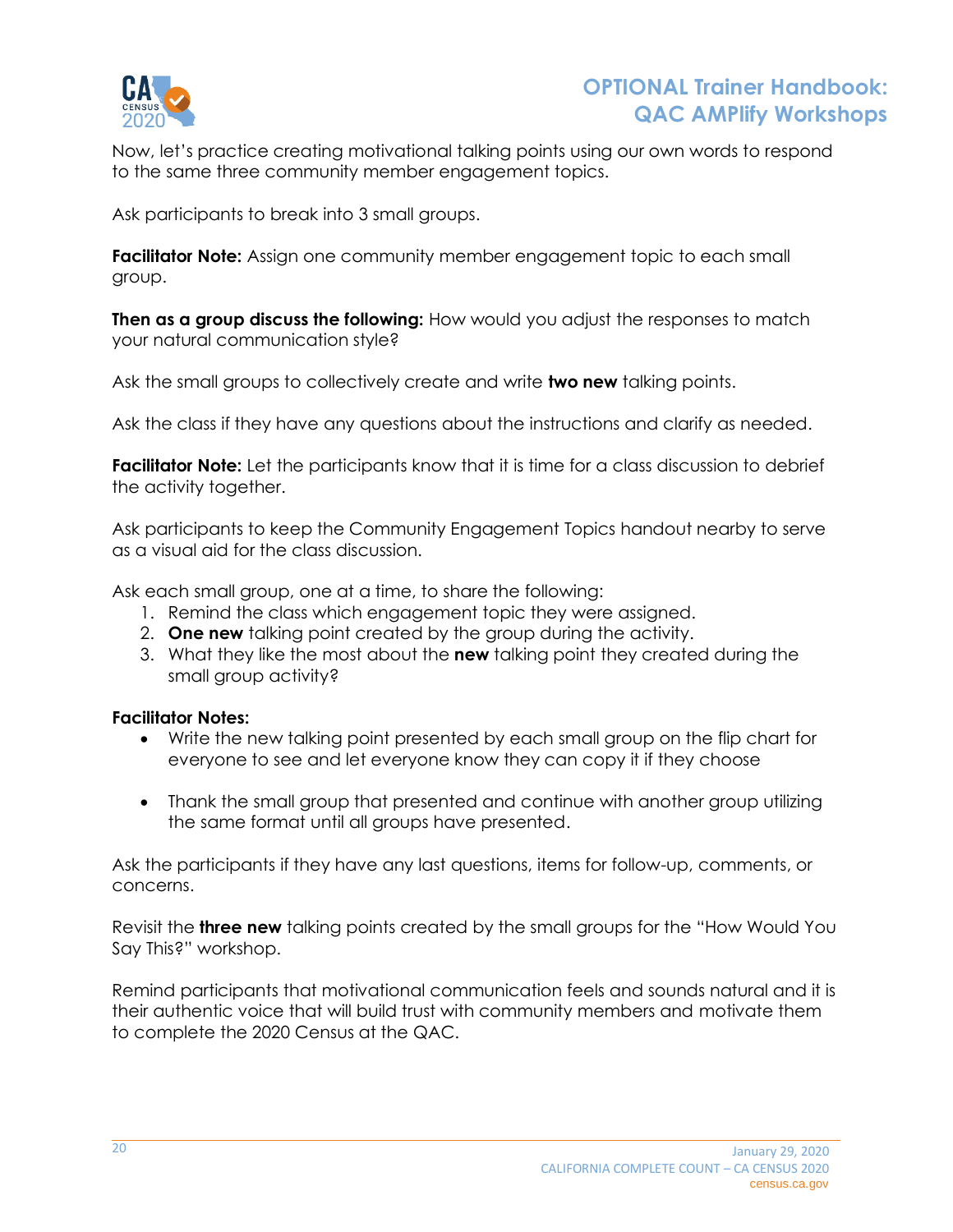

Now, let's practice creating motivational talking points using our own words to respond to the same three community member engagement topics.

Ask participants to break into 3 small groups.

**Facilitator Note:** Assign one community member engagement topic to each small group.

**Then as a group discuss the following:** How would you adjust the responses to match your natural communication style?

Ask the small groups to collectively create and write **two new** talking points.

Ask the class if they have any questions about the instructions and clarify as needed.

**Facilitator Note:** Let the participants know that it is time for a class discussion to debrief the activity together.

Ask participants to keep the Community Engagement Topics handout nearby to serve as a visual aid for the class discussion.

Ask each small group, one at a time, to share the following:

- 1. Remind the class which engagement topic they were assigned.
- 2. **One new** talking point created by the group during the activity.
- 3. What they like the most about the **new** talking point they created during the small group activity?

#### **Facilitator Notes:**

- Write the new talking point presented by each small group on the flip chart for everyone to see and let everyone know they can copy it if they choose
- Thank the small group that presented and continue with another group utilizing the same format until all groups have presented.

Ask the participants if they have any last questions, items for follow-up, comments, or concerns.

Revisit the **three new** talking points created by the small groups for the "How Would You Say This?" workshop.

Remind participants that motivational communication feels and sounds natural and it is their authentic voice that will build trust with community members and motivate them to complete the 2020 Census at the QAC.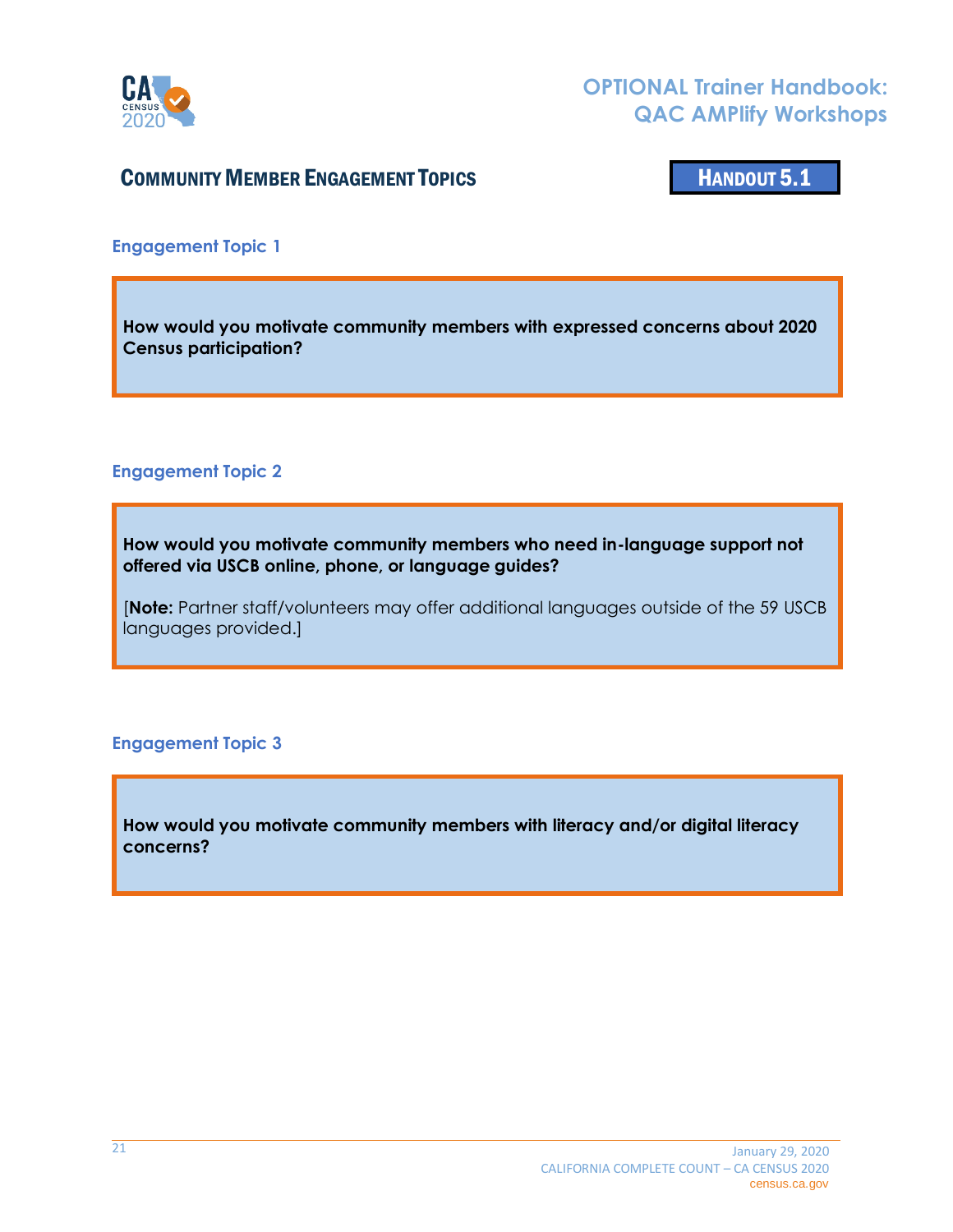

## COMMUNITY MEMBER ENGAGEMENT TOPICS **HANDOUT 5.1**

<span id="page-20-0"></span>

**Engagement Topic 1**

**How would you motivate community members with expressed concerns about 2020 Census participation?**

#### **Engagement Topic 2**

**How would you motivate community members who need in-language support not offered via USCB online, phone, or language guides?**

[**Note:** Partner staff/volunteers may offer additional languages outside of the 59 USCB languages provided.]

#### **Engagement Topic 3**

**How would you motivate community members with literacy and/or digital literacy concerns?**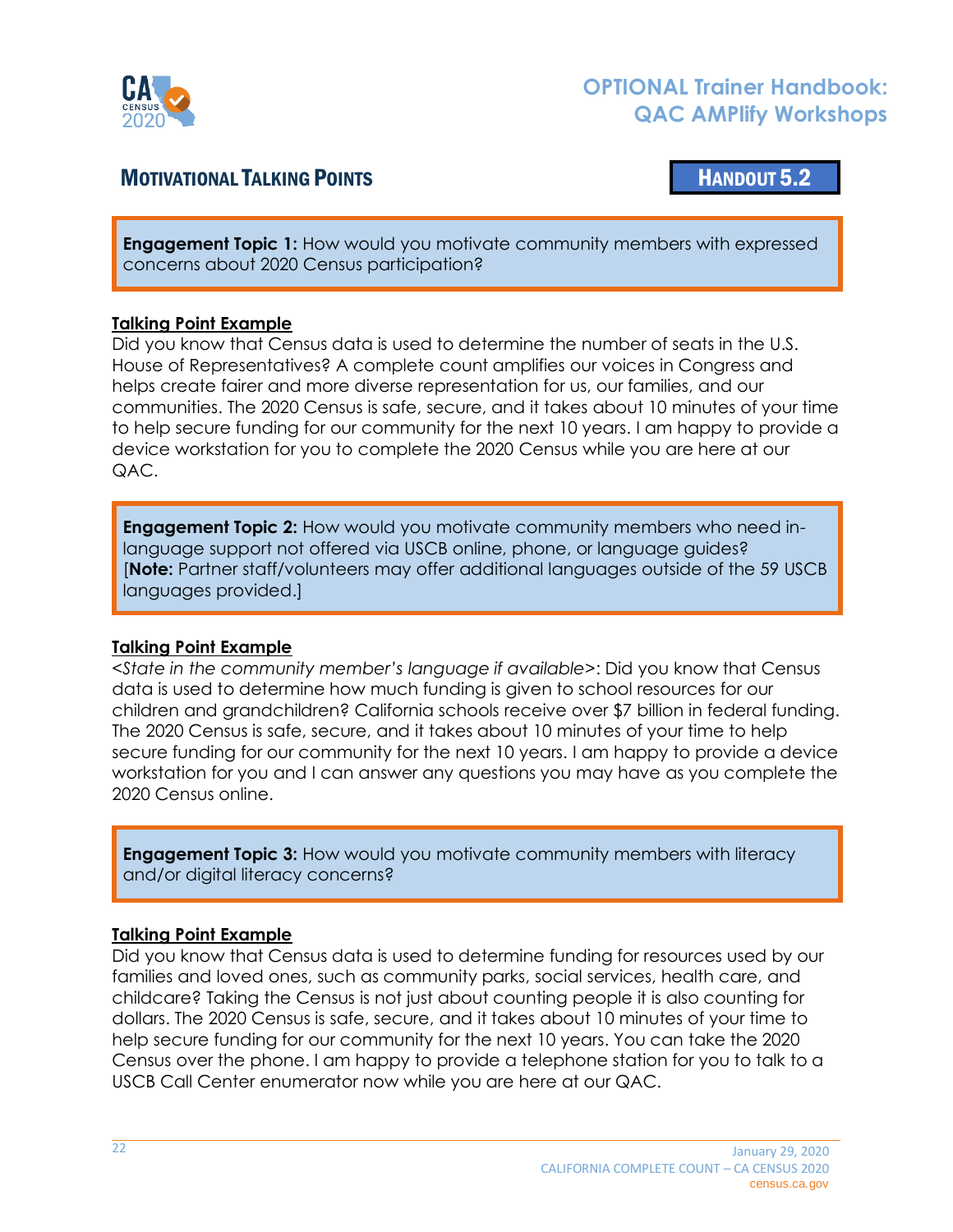

## MOTIVATIONAL TALKING POINTS NEWSTATE THE MANUSCRIPT OF THE MANUSCRIPT OF THE MANUSCRIPT OF THE MANUSCRIPT OF THE MANUSCRIPT OF THE MANUSCRIPT OF THE MANUSCRIPT OF THE MANUSCRIPT OF THE MANUSCRIPT OF THE MANUSCRIPT OF THE M

<span id="page-21-0"></span>

**Engagement Topic 1:** How would you motivate community members with expressed concerns about 2020 Census participation?

#### **Talking Point Example**

Did you know that Census data is used to determine the number of seats in the U.S. House of Representatives? A complete count amplifies our voices in Congress and helps create fairer and more diverse representation for us, our families, and our communities. The 2020 Census is safe, secure, and it takes about 10 minutes of your time to help secure funding for our community for the next 10 years. I am happy to provide a device workstation for you to complete the 2020 Census while you are here at our QAC.

**Engagement Topic 2:** How would you motivate community members who need inlanguage support not offered via USCB online, phone, or language guides? [**Note:** Partner staff/volunteers may offer additional languages outside of the 59 USCB languages provided.]

### **Talking Point Example**

*<State in the community member's language if available>*: Did you know that Census data is used to determine how much funding is given to school resources for our children and grandchildren? California schools receive over \$7 billion in federal funding. The 2020 Census is safe, secure, and it takes about 10 minutes of your time to help secure funding for our community for the next 10 years. I am happy to provide a device workstation for you and I can answer any questions you may have as you complete the 2020 Census online.

**Engagement Topic 3:** How would you motivate community members with literacy and/or digital literacy concerns?

### **Talking Point Example**

Did you know that Census data is used to determine funding for resources used by our families and loved ones, such as community parks, social services, health care, and childcare? Taking the Census is not just about counting people it is also counting for dollars. The 2020 Census is safe, secure, and it takes about 10 minutes of your time to help secure funding for our community for the next 10 years. You can take the 2020 Census over the phone. I am happy to provide a telephone station for you to talk to a USCB Call Center enumerator now while you are here at our QAC.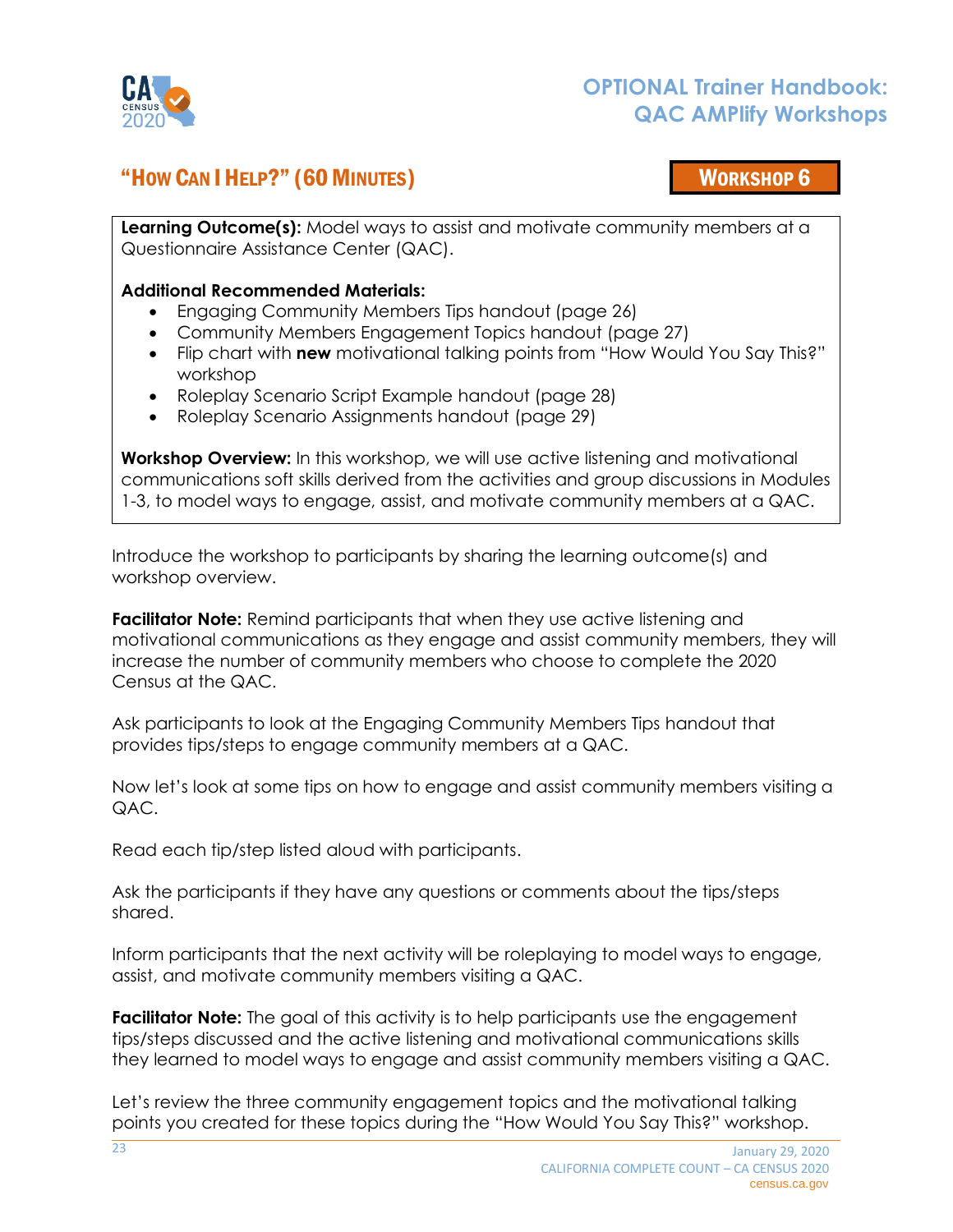

## "HOW CAN I HELP?" (60MINUTES) WORKSHOP 6

**Learning Outcome(s):** Model ways to assist and motivate community members at a Questionnaire Assistance Center (QAC).

#### **Additional Recommended Materials:**

- <span id="page-22-0"></span>• Engaging Community Members Tips handout (page 26)
- Community Members Engagement Topics handout (page 27)
- Flip chart with **new** motivational talking points from "How Would You Say This?" workshop
- Roleplay Scenario Script Example handout (page 28)
- Roleplay Scenario Assignments handout (page 29)

**Workshop Overview:** In this workshop, we will use active listening and motivational communications soft skills derived from the activities and group discussions in Modules 1-3, to model ways to engage, assist, and motivate community members at a QAC.

Introduce the workshop to participants by sharing the learning outcome(s) and workshop overview.

**Facilitator Note:** Remind participants that when they use active listening and motivational communications as they engage and assist community members, they will increase the number of community members who choose to complete the 2020 Census at the QAC.

Ask participants to look at the Engaging Community Members Tips handout that provides tips/steps to engage community members at a QAC.

Now let's look at some tips on how to engage and assist community members visiting a QAC.

Read each tip/step listed aloud with participants.

Ask the participants if they have any questions or comments about the tips/steps shared.

Inform participants that the next activity will be roleplaying to model ways to engage, assist, and motivate community members visiting a QAC.

**Facilitator Note:** The goal of this activity is to help participants use the engagement tips/steps discussed and the active listening and motivational communications skills they learned to model ways to engage and assist community members visiting a QAC.

Let's review the three community engagement topics and the motivational talking points you created for these topics during the "How Would You Say This?" workshop.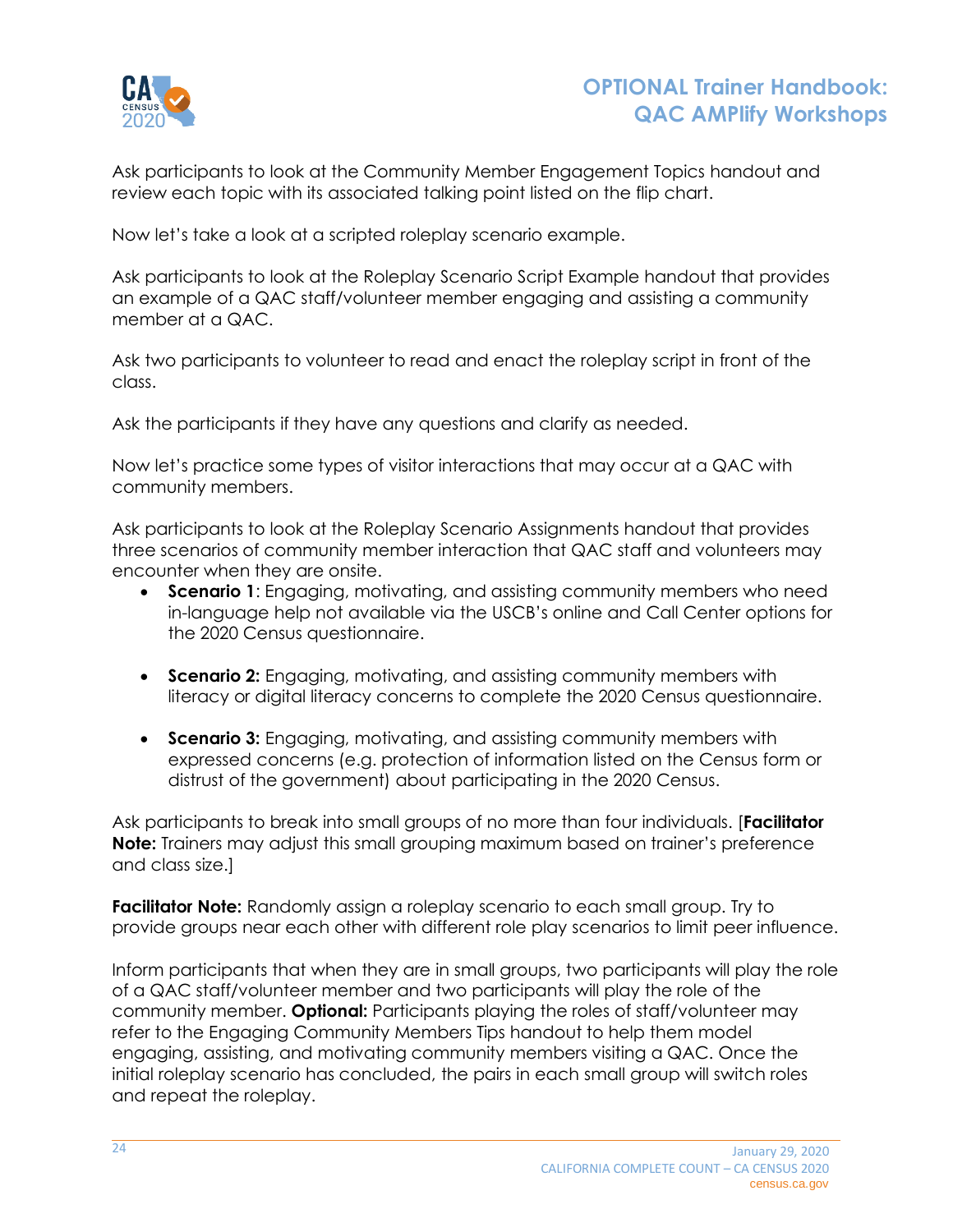

Ask participants to look at the Community Member Engagement Topics handout and review each topic with its associated talking point listed on the flip chart.

Now let's take a look at a scripted roleplay scenario example.

Ask participants to look at the Roleplay Scenario Script Example handout that provides an example of a QAC staff/volunteer member engaging and assisting a community member at a QAC.

Ask two participants to volunteer to read and enact the roleplay script in front of the class.

Ask the participants if they have any questions and clarify as needed.

Now let's practice some types of visitor interactions that may occur at a QAC with community members.

Ask participants to look at the Roleplay Scenario Assignments handout that provides three scenarios of community member interaction that QAC staff and volunteers may encounter when they are onsite.

- **Scenario 1**: Engaging, motivating, and assisting community members who need in-language help not available via the USCB's online and Call Center options for the 2020 Census questionnaire.
- **Scenario 2:** Engaging, motivating, and assisting community members with literacy or digital literacy concerns to complete the 2020 Census questionnaire.
- **Scenario 3:** Engaging, motivating, and assisting community members with expressed concerns (e.g. protection of information listed on the Census form or distrust of the government) about participating in the 2020 Census.

Ask participants to break into small groups of no more than four individuals. [**Facilitator Note:** Trainers may adjust this small grouping maximum based on trainer's preference and class size.]

**Facilitator Note:** Randomly assign a roleplay scenario to each small group. Try to provide groups near each other with different role play scenarios to limit peer influence.

Inform participants that when they are in small groups, two participants will play the role of a QAC staff/volunteer member and two participants will play the role of the community member. **Optional:** Participants playing the roles of staff/volunteer may refer to the Engaging Community Members Tips handout to help them model engaging, assisting, and motivating community members visiting a QAC. Once the initial roleplay scenario has concluded, the pairs in each small group will switch roles and repeat the roleplay.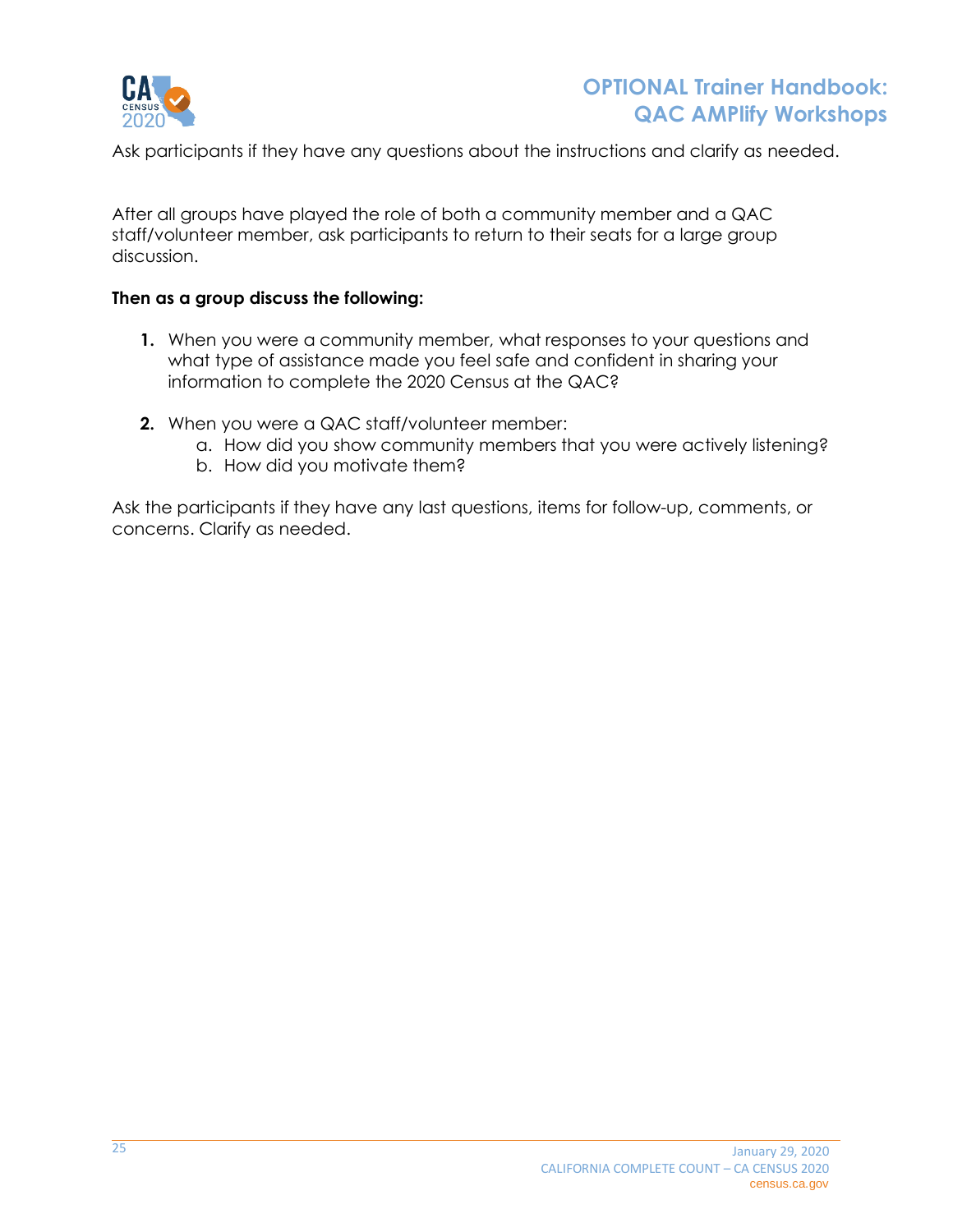

Ask participants if they have any questions about the instructions and clarify as needed.

After all groups have played the role of both a community member and a QAC staff/volunteer member, ask participants to return to their seats for a large group discussion.

#### **Then as a group discuss the following:**

- **1.** When you were a community member, what responses to your questions and what type of assistance made you feel safe and confident in sharing your information to complete the 2020 Census at the QAC?
- **2.** When you were a QAC staff/volunteer member:
	- a. How did you show community members that you were actively listening?
	- b. How did you motivate them?

Ask the participants if they have any last questions, items for follow-up, comments, or concerns. Clarify as needed.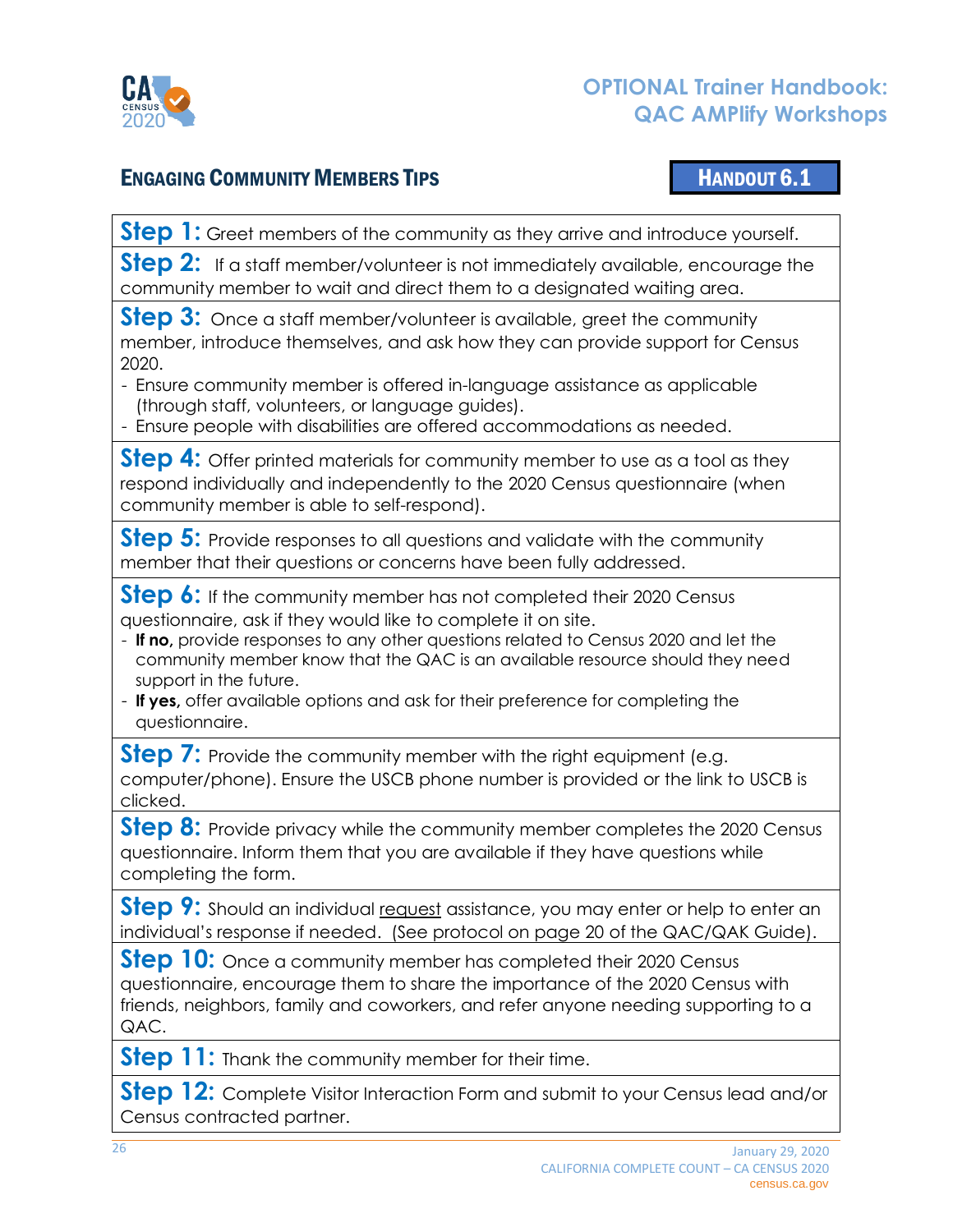

## ENGAGING COMMUNITY MEMBERS TIPS HANDOUT 6.1

<span id="page-25-0"></span>

**Step 1:** Greet members of the community as they arrive and introduce yourself.

**Step 2:** If a staff member/volunteer is not immediately available, encourage the community member to wait and direct them to a designated waiting area.

**Step 3:** Once a staff member/volunteer is available, greet the community member, introduce themselves, and ask how they can provide support for Census 2020.

- Ensure community member is offered in-language assistance as applicable (through staff, volunteers, or language guides).
- Ensure people with disabilities are offered accommodations as needed.

**Step 4:** Offer printed materials for community member to use as a tool as they respond individually and independently to the 2020 Census questionnaire (when community member is able to self-respond).

**Step 5:** Provide responses to all questions and validate with the community member that their questions or concerns have been fully addressed.

**Step 6:** If the community member has not completed their 2020 Census questionnaire, ask if they would like to complete it on site.

- **If no,** provide responses to any other questions related to Census 2020 and let the community member know that the QAC is an available resource should they need support in the future.
- **If yes,** offer available options and ask for their preference for completing the questionnaire.

**Step 7:** Provide the community member with the right equipment (e.g. computer/phone). Ensure the USCB phone number is provided or the link to USCB is clicked.

**Step 8:** Provide privacy while the community member completes the 2020 Census questionnaire. Inform them that you are available if they have questions while completing the form.

**Step 9:** Should an individual request assistance, you may enter or help to enter an individual's response if needed. (See protocol on page 20 of the QAC/QAK Guide).

**Step 10:** Once a community member has completed their 2020 Census questionnaire, encourage them to share the importance of the 2020 Census with friends, neighbors, family and coworkers, and refer anyone needing supporting to a QAC.

**Step 11:** Thank the community member for their time.

**Step 12:** Complete Visitor Interaction Form and submit to your Census lead and/or Census contracted partner.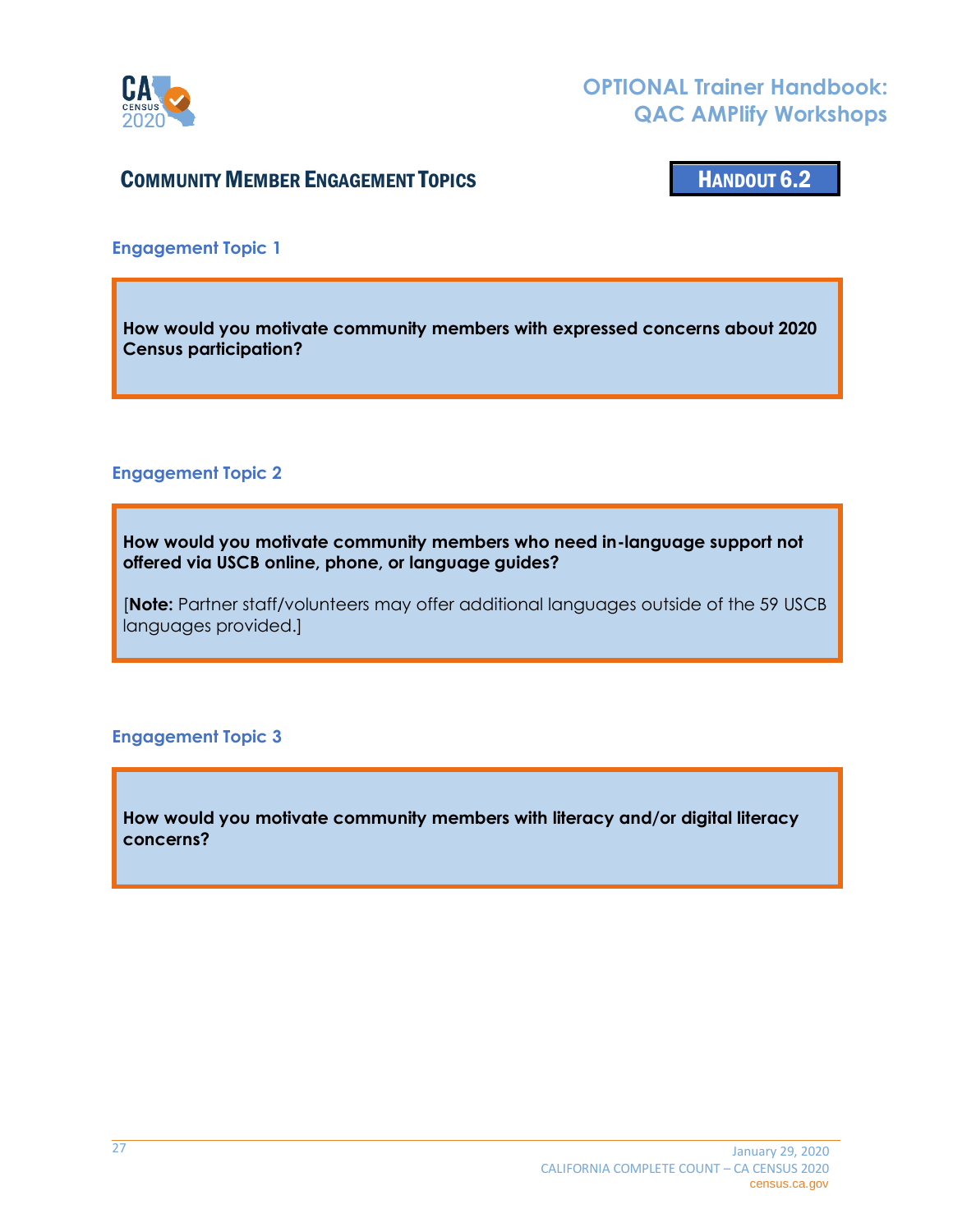

## **COMMUNITY MEMBER ENGAGEMENT TOPICS FOR A SET AND SET AND SET AND THE HANDOUT 6.2**

<span id="page-26-0"></span>

**Engagement Topic 1**

**How would you motivate community members with expressed concerns about 2020 Census participation?**

#### **Engagement Topic 2**

**How would you motivate community members who need in-language support not offered via USCB online, phone, or language guides?**

[**Note:** Partner staff/volunteers may offer additional languages outside of the 59 USCB languages provided.]

#### **Engagement Topic 3**

**How would you motivate community members with literacy and/or digital literacy concerns?**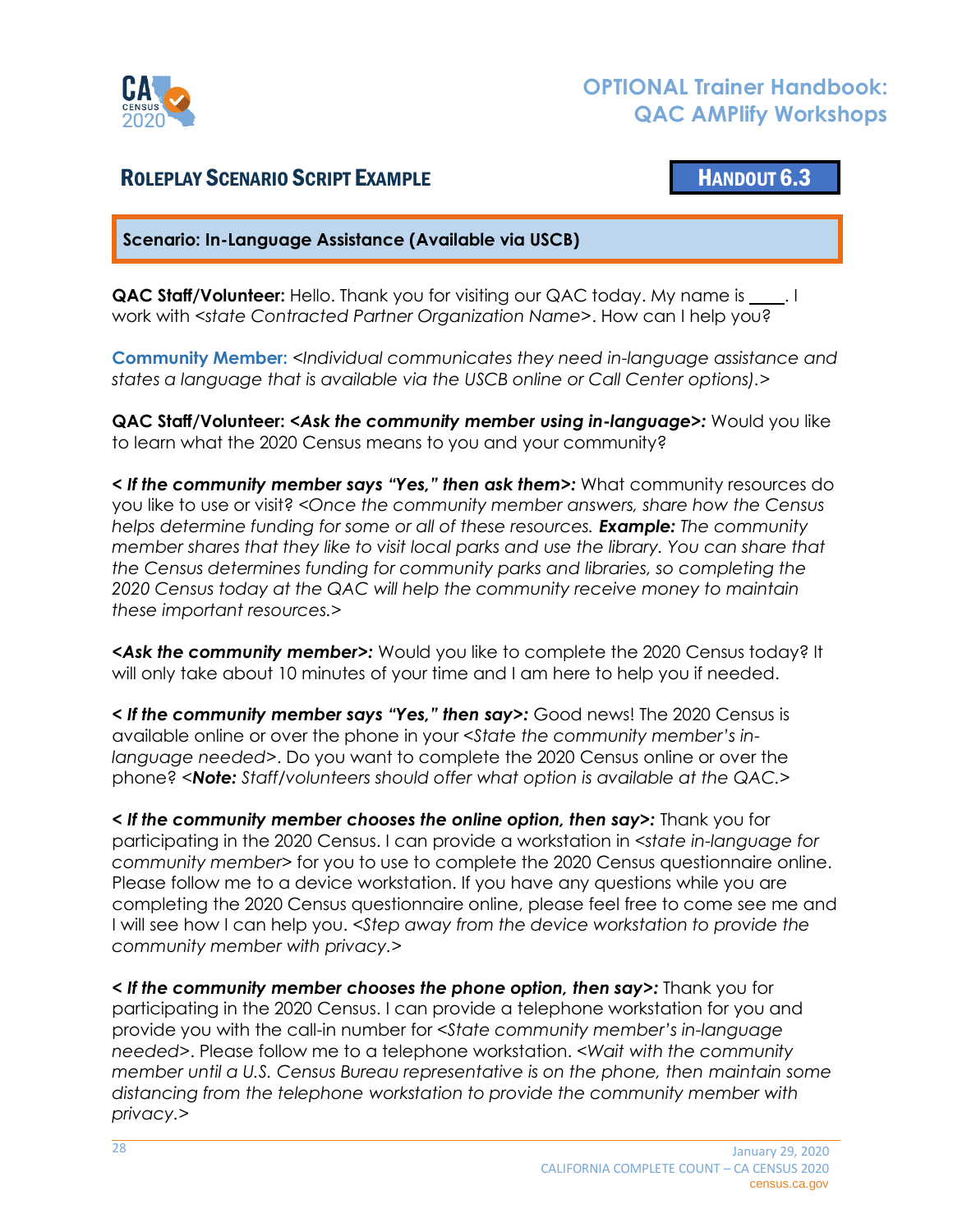

## <span id="page-27-0"></span>ROLEPLAY SCENARIO SCRIPT EXAMPLE **And Contact Contact Contact Contact Contact Contact Contact Contact Contact Contact Contact Contact Contact Contact Contact Contact Contact Contact Contact Contact Contact Contact Contact**

**Scenario: In-Language Assistance (Available via USCB)**

**QAC Staff/Volunteer:** Hello. Thank you for visiting our QAC today. My name is \_\_\_\_. I work with *<state Contracted Partner Organization Name>*. How can I help you?

**Community Member:** *<Individual communicates they need in-language assistance and states a language that is available via the USCB online or Call Center options).>*

**QAC Staff/Volunteer:** *<Ask the community member using in-language>:* Would you like to learn what the 2020 Census means to you and your community?

*< If the community member says "Yes," then ask them>:* What community resources do you like to use or visit? *<Once the community member answers, share how the Census helps determine funding for some or all of these resources. Example: The community member shares that they like to visit local parks and use the library. You can share that the Census determines funding for community parks and libraries, so completing the 2020 Census today at the QAC will help the community receive money to maintain these important resources.>*

*<Ask the community member>:* Would you like to complete the 2020 Census today? It will only take about 10 minutes of your time and I am here to help you if needed.

*< If the community member says "Yes," then say>:* Good news! The 2020 Census is available online or over the phone in your *<State the community member's inlanguage needed>*. Do you want to complete the 2020 Census online or over the phone? *<Note: Staff/volunteers should offer what option is available at the QAC.>*

*< If the community member chooses the online option, then say>:* Thank you for participating in the 2020 Census. I can provide a workstation in *<state in-language for community member>* for you to use to complete the 2020 Census questionnaire online. Please follow me to a device workstation. If you have any questions while you are completing the 2020 Census questionnaire online, please feel free to come see me and I will see how I can help you. *<Step away from the device workstation to provide the community member with privacy.>*

*< If the community member chooses the phone option, then say>:* Thank you for participating in the 2020 Census. I can provide a telephone workstation for you and provide you with the call-in number for *<State community member's in-language needed>*. Please follow me to a telephone workstation. *<Wait with the community member until a U.S. Census Bureau representative is on the phone, then maintain some distancing from the telephone workstation to provide the community member with privacy.>*